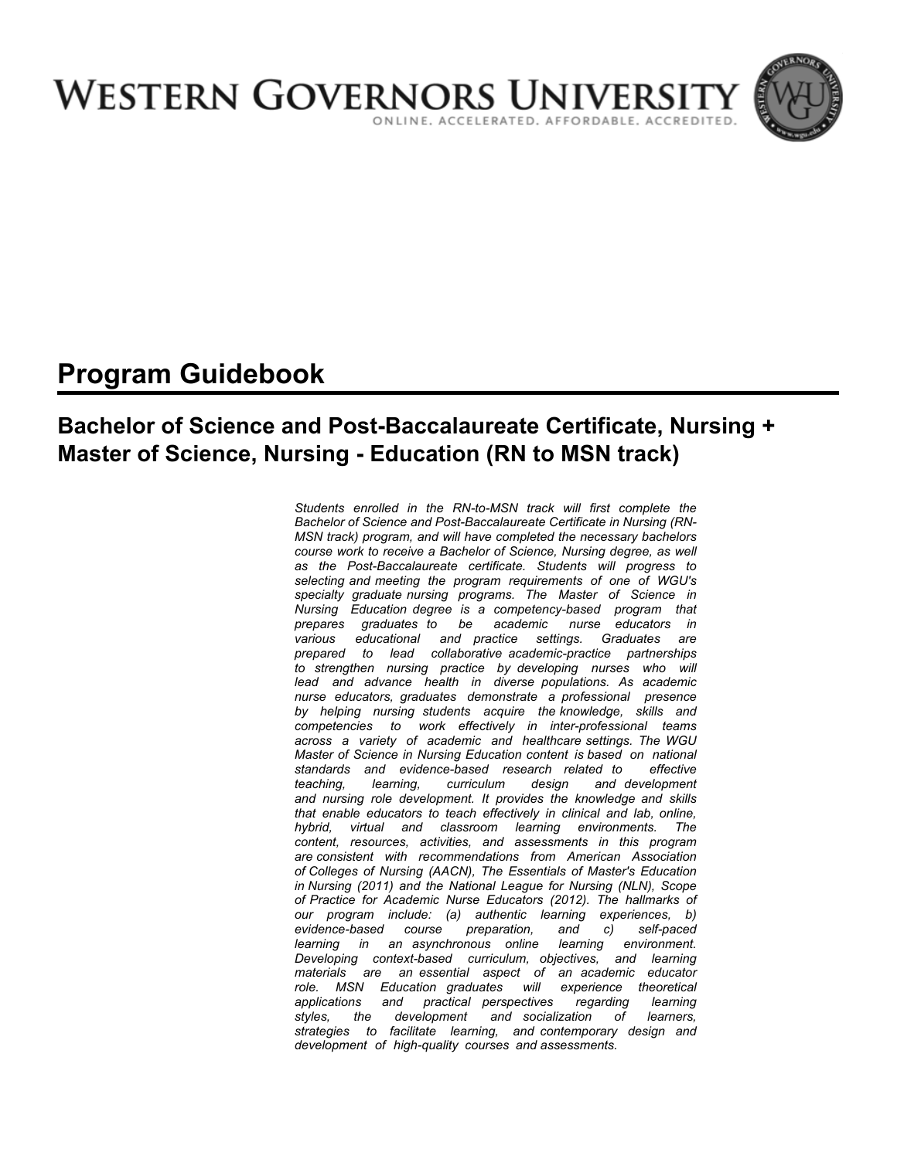

# **Program Guidebook**

# **Bachelor of Science and Post-Baccalaureate Certificate, Nursing + Master of Science, Nursing - Education (RN to MSN track)**

*Students enrolled in the RN-to-MSN track will first complete the Bachelor of Science and Post-Baccalaureate Certificate in Nursing (RN-MSN track) program, and will have completed the necessary bachelors course work to receive a Bachelor of Science, Nursing degree, as well as the Post-Baccalaureate certificate. Students will progress to selecting and meeting the program requirements of one of WGU's specialty graduate nursing programs. The Master of Science in Nursing Education degree is a competency-based program that prepares graduates to be academic nurse educators in various educational and practice settings. Graduates are prepared to lead collaborative academic-practice partnerships to strengthen nursing practice by developing nurses who will*  lead and advance health in diverse populations. As academic *nurse educators, graduates demonstrate a professional presence by helping nursing students acquire the knowledge, skills and competencies to work effectively in inter-professional teams across a variety of academic and healthcare settings. The WGU Master of Science in Nursing Education content is based on national standards and evidence-based research related to effective teaching, learning, curriculum design and development and nursing role development. It provides the knowledge and skills that enable educators to teach effectively in clinical and lab, online, hybrid, virtual and classroom learning environments. The content, resources, activities, and assessments in this program are consistent with recommendations from American Association of Colleges of Nursing (AACN), The Essentials of Master's Education in Nursing (2011) and the National League for Nursing (NLN), Scope of Practice for Academic Nurse Educators (2012). The hallmarks of our program include: (a) authentic learning experiences, b) evidence-based course preparation, and c) self-paced learning in an asynchronous online learning environment. Developing context-based curriculum, objectives, and learning materials are an essential aspect of an academic educator role. MSN Education graduates will experience theoretical applications and practical perspectives regarding learning styles, the development and socialization of learners, strategies to facilitate learning, and contemporary design and development of high-quality courses and assessments.*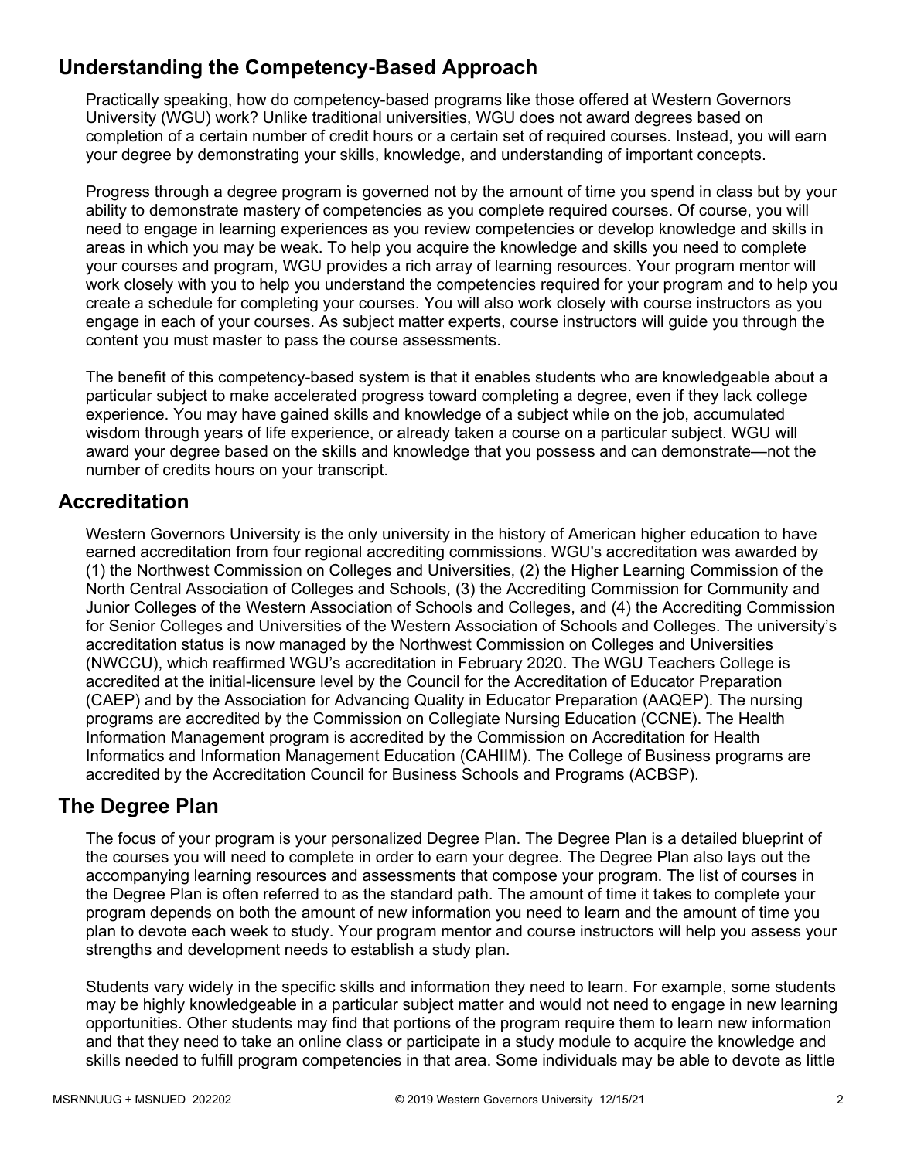# **Understanding the Competency-Based Approach**

Practically speaking, how do competency-based programs like those offered at Western Governors University (WGU) work? Unlike traditional universities, WGU does not award degrees based on completion of a certain number of credit hours or a certain set of required courses. Instead, you will earn your degree by demonstrating your skills, knowledge, and understanding of important concepts.

Progress through a degree program is governed not by the amount of time you spend in class but by your ability to demonstrate mastery of competencies as you complete required courses. Of course, you will need to engage in learning experiences as you review competencies or develop knowledge and skills in areas in which you may be weak. To help you acquire the knowledge and skills you need to complete your courses and program, WGU provides a rich array of learning resources. Your program mentor will work closely with you to help you understand the competencies required for your program and to help you create a schedule for completing your courses. You will also work closely with course instructors as you engage in each of your courses. As subject matter experts, course instructors will guide you through the content you must master to pass the course assessments.

The benefit of this competency-based system is that it enables students who are knowledgeable about a particular subject to make accelerated progress toward completing a degree, even if they lack college experience. You may have gained skills and knowledge of a subject while on the job, accumulated wisdom through years of life experience, or already taken a course on a particular subject. WGU will award your degree based on the skills and knowledge that you possess and can demonstrate—not the number of credits hours on your transcript.

## **Accreditation**

Western Governors University is the only university in the history of American higher education to have earned accreditation from four regional accrediting commissions. WGU's accreditation was awarded by (1) the Northwest Commission on Colleges and Universities, (2) the Higher Learning Commission of the North Central Association of Colleges and Schools, (3) the Accrediting Commission for Community and Junior Colleges of the Western Association of Schools and Colleges, and (4) the Accrediting Commission for Senior Colleges and Universities of the Western Association of Schools and Colleges. The university's accreditation status is now managed by the Northwest Commission on Colleges and Universities (NWCCU), which reaffirmed WGU's accreditation in February 2020. The WGU Teachers College is accredited at the initial-licensure level by the Council for the Accreditation of Educator Preparation (CAEP) and by the Association for Advancing Quality in Educator Preparation (AAQEP). The nursing programs are accredited by the Commission on Collegiate Nursing Education (CCNE). The Health Information Management program is accredited by the Commission on Accreditation for Health Informatics and Information Management Education (CAHIIM). The College of Business programs are accredited by the Accreditation Council for Business Schools and Programs (ACBSP).

## **The Degree Plan**

The focus of your program is your personalized Degree Plan. The Degree Plan is a detailed blueprint of the courses you will need to complete in order to earn your degree. The Degree Plan also lays out the accompanying learning resources and assessments that compose your program. The list of courses in the Degree Plan is often referred to as the standard path. The amount of time it takes to complete your program depends on both the amount of new information you need to learn and the amount of time you plan to devote each week to study. Your program mentor and course instructors will help you assess your strengths and development needs to establish a study plan.

Students vary widely in the specific skills and information they need to learn. For example, some students may be highly knowledgeable in a particular subject matter and would not need to engage in new learning opportunities. Other students may find that portions of the program require them to learn new information and that they need to take an online class or participate in a study module to acquire the knowledge and skills needed to fulfill program competencies in that area. Some individuals may be able to devote as little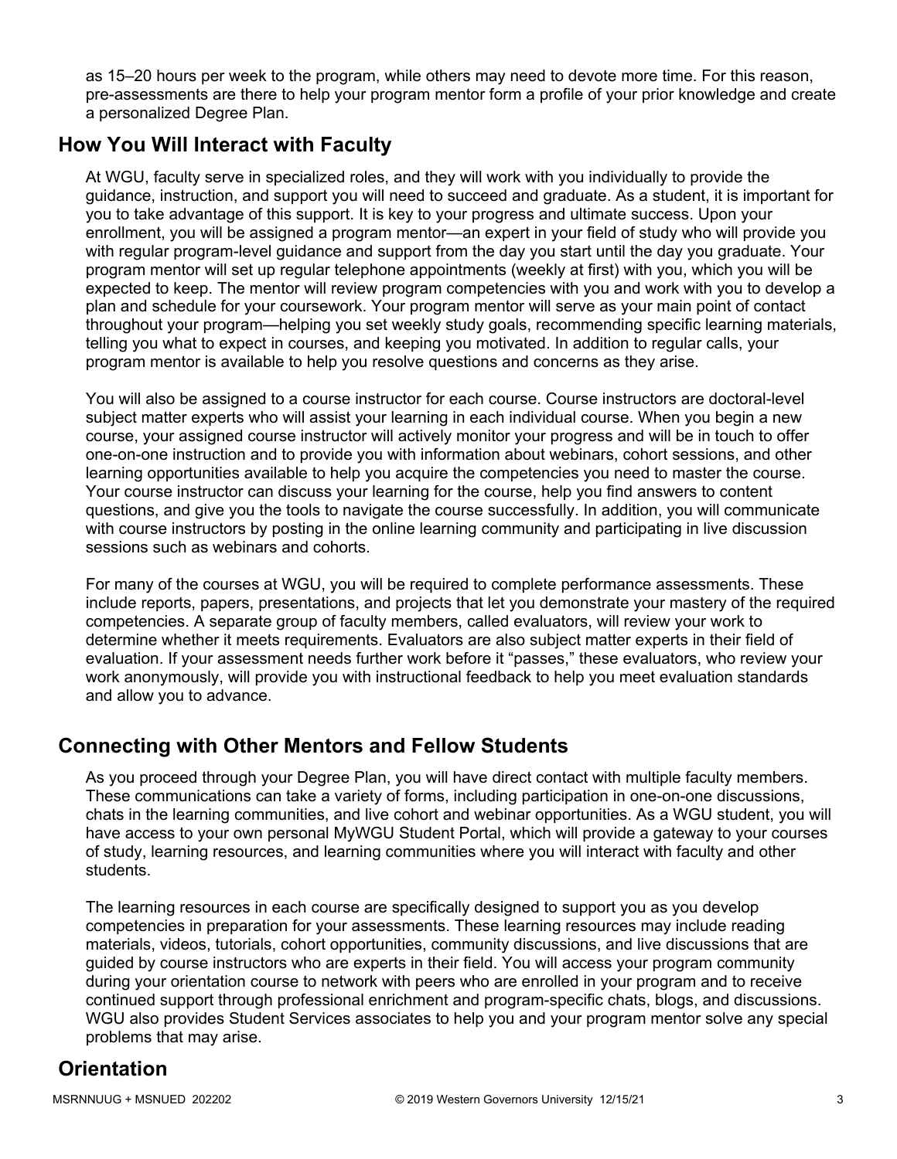as 15–20 hours per week to the program, while others may need to devote more time. For this reason, pre-assessments are there to help your program mentor form a profile of your prior knowledge and create a personalized Degree Plan.

## **How You Will Interact with Faculty**

At WGU, faculty serve in specialized roles, and they will work with you individually to provide the guidance, instruction, and support you will need to succeed and graduate. As a student, it is important for you to take advantage of this support. It is key to your progress and ultimate success. Upon your enrollment, you will be assigned a program mentor—an expert in your field of study who will provide you with regular program-level guidance and support from the day you start until the day you graduate. Your program mentor will set up regular telephone appointments (weekly at first) with you, which you will be expected to keep. The mentor will review program competencies with you and work with you to develop a plan and schedule for your coursework. Your program mentor will serve as your main point of contact throughout your program—helping you set weekly study goals, recommending specific learning materials, telling you what to expect in courses, and keeping you motivated. In addition to regular calls, your program mentor is available to help you resolve questions and concerns as they arise.

You will also be assigned to a course instructor for each course. Course instructors are doctoral-level subject matter experts who will assist your learning in each individual course. When you begin a new course, your assigned course instructor will actively monitor your progress and will be in touch to offer one-on-one instruction and to provide you with information about webinars, cohort sessions, and other learning opportunities available to help you acquire the competencies you need to master the course. Your course instructor can discuss your learning for the course, help you find answers to content questions, and give you the tools to navigate the course successfully. In addition, you will communicate with course instructors by posting in the online learning community and participating in live discussion sessions such as webinars and cohorts.

For many of the courses at WGU, you will be required to complete performance assessments. These include reports, papers, presentations, and projects that let you demonstrate your mastery of the required competencies. A separate group of faculty members, called evaluators, will review your work to determine whether it meets requirements. Evaluators are also subject matter experts in their field of evaluation. If your assessment needs further work before it "passes," these evaluators, who review your work anonymously, will provide you with instructional feedback to help you meet evaluation standards and allow you to advance.

# **Connecting with Other Mentors and Fellow Students**

As you proceed through your Degree Plan, you will have direct contact with multiple faculty members. These communications can take a variety of forms, including participation in one-on-one discussions, chats in the learning communities, and live cohort and webinar opportunities. As a WGU student, you will have access to your own personal MyWGU Student Portal, which will provide a gateway to your courses of study, learning resources, and learning communities where you will interact with faculty and other students.

The learning resources in each course are specifically designed to support you as you develop competencies in preparation for your assessments. These learning resources may include reading materials, videos, tutorials, cohort opportunities, community discussions, and live discussions that are guided by course instructors who are experts in their field. You will access your program community during your orientation course to network with peers who are enrolled in your program and to receive continued support through professional enrichment and program-specific chats, blogs, and discussions. WGU also provides Student Services associates to help you and your program mentor solve any special problems that may arise.

# **Orientation**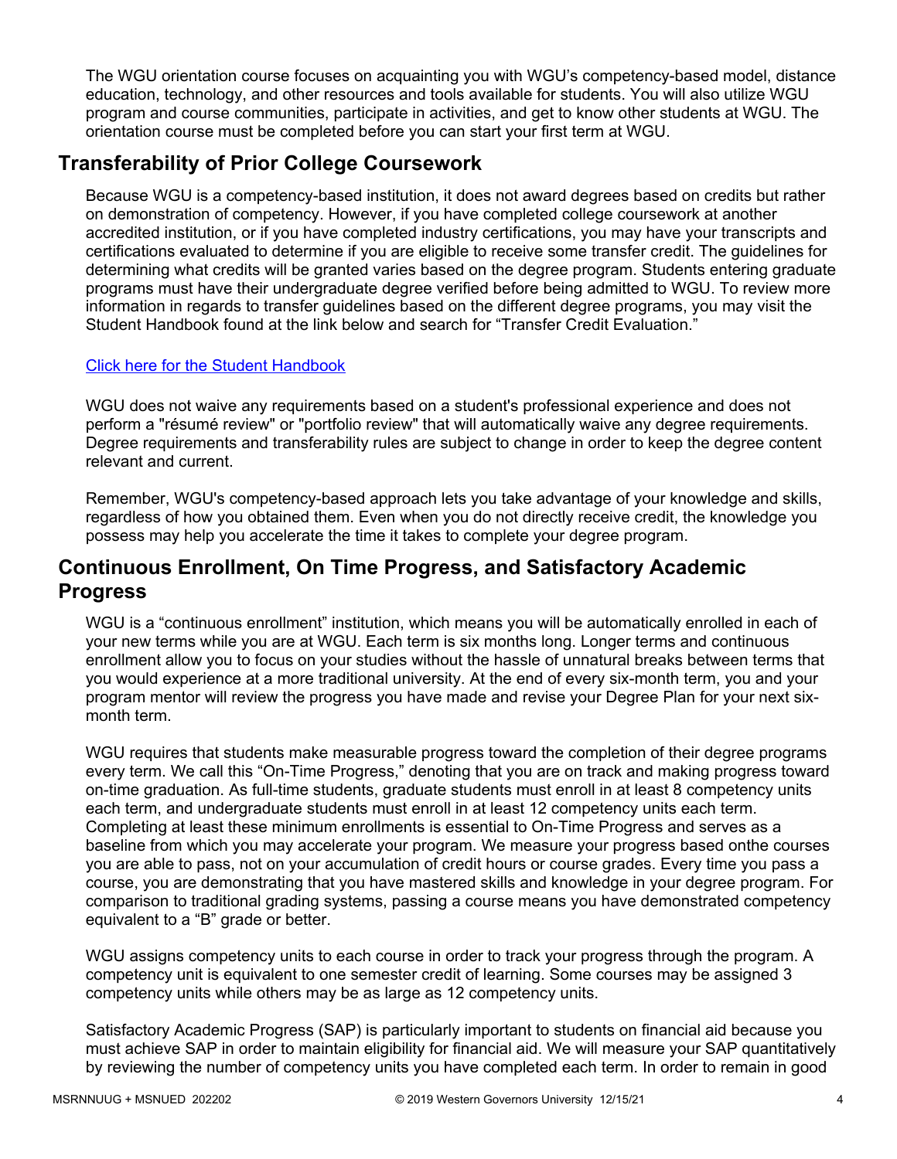The WGU orientation course focuses on acquainting you with WGU's competency-based model, distance education, technology, and other resources and tools available for students. You will also utilize WGU program and course communities, participate in activities, and get to know other students at WGU. The orientation course must be completed before you can start your first term at WGU.

# **Transferability of Prior College Coursework**

Because WGU is a competency-based institution, it does not award degrees based on credits but rather on demonstration of competency. However, if you have completed college coursework at another accredited institution, or if you have completed industry certifications, you may have your transcripts and certifications evaluated to determine if you are eligible to receive some transfer credit. The guidelines for determining what credits will be granted varies based on the degree program. Students entering graduate programs must have their undergraduate degree verified before being admitted to WGU. To review more information in regards to transfer guidelines based on the different degree programs, you may visit the Student Handbook found at the link below and search for "Transfer Credit Evaluation."

### [Click here for the Student Handbook](http://cm.wgu.edu/)

WGU does not waive any requirements based on a student's professional experience and does not perform a "résumé review" or "portfolio review" that will automatically waive any degree requirements. Degree requirements and transferability rules are subject to change in order to keep the degree content relevant and current.

Remember, WGU's competency-based approach lets you take advantage of your knowledge and skills, regardless of how you obtained them. Even when you do not directly receive credit, the knowledge you possess may help you accelerate the time it takes to complete your degree program.

## **Continuous Enrollment, On Time Progress, and Satisfactory Academic Progress**

WGU is a "continuous enrollment" institution, which means you will be automatically enrolled in each of your new terms while you are at WGU. Each term is six months long. Longer terms and continuous enrollment allow you to focus on your studies without the hassle of unnatural breaks between terms that you would experience at a more traditional university. At the end of every six-month term, you and your program mentor will review the progress you have made and revise your Degree Plan for your next sixmonth term.

WGU requires that students make measurable progress toward the completion of their degree programs every term. We call this "On-Time Progress," denoting that you are on track and making progress toward on-time graduation. As full-time students, graduate students must enroll in at least 8 competency units each term, and undergraduate students must enroll in at least 12 competency units each term. Completing at least these minimum enrollments is essential to On-Time Progress and serves as a baseline from which you may accelerate your program. We measure your progress based onthe courses you are able to pass, not on your accumulation of credit hours or course grades. Every time you pass a course, you are demonstrating that you have mastered skills and knowledge in your degree program. For comparison to traditional grading systems, passing a course means you have demonstrated competency equivalent to a "B" grade or better.

WGU assigns competency units to each course in order to track your progress through the program. A competency unit is equivalent to one semester credit of learning. Some courses may be assigned 3 competency units while others may be as large as 12 competency units.

Satisfactory Academic Progress (SAP) is particularly important to students on financial aid because you must achieve SAP in order to maintain eligibility for financial aid. We will measure your SAP quantitatively by reviewing the number of competency units you have completed each term. In order to remain in good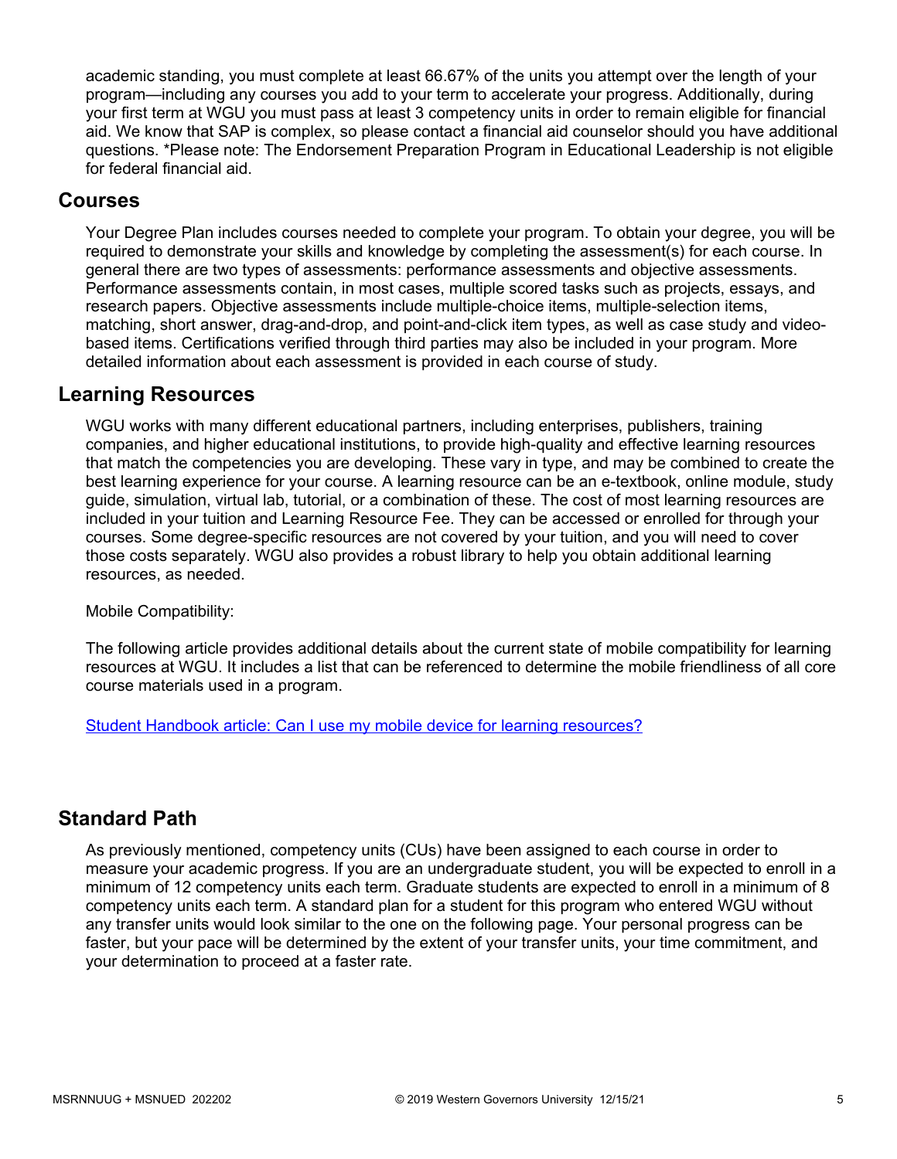academic standing, you must complete at least 66.67% of the units you attempt over the length of your program—including any courses you add to your term to accelerate your progress. Additionally, during your first term at WGU you must pass at least 3 competency units in order to remain eligible for financial aid. We know that SAP is complex, so please contact a financial aid counselor should you have additional questions. \*Please note: The Endorsement Preparation Program in Educational Leadership is not eligible for federal financial aid.

### **Courses**

Your Degree Plan includes courses needed to complete your program. To obtain your degree, you will be required to demonstrate your skills and knowledge by completing the assessment(s) for each course. In general there are two types of assessments: performance assessments and objective assessments. Performance assessments contain, in most cases, multiple scored tasks such as projects, essays, and research papers. Objective assessments include multiple-choice items, multiple-selection items, matching, short answer, drag-and-drop, and point-and-click item types, as well as case study and videobased items. Certifications verified through third parties may also be included in your program. More detailed information about each assessment is provided in each course of study.

## **Learning Resources**

WGU works with many different educational partners, including enterprises, publishers, training companies, and higher educational institutions, to provide high-quality and effective learning resources that match the competencies you are developing. These vary in type, and may be combined to create the best learning experience for your course. A learning resource can be an e-textbook, online module, study guide, simulation, virtual lab, tutorial, or a combination of these. The cost of most learning resources are included in your tuition and Learning Resource Fee. They can be accessed or enrolled for through your courses. Some degree-specific resources are not covered by your tuition, and you will need to cover those costs separately. WGU also provides a robust library to help you obtain additional learning resources, as needed.

Mobile Compatibility:

The following article provides additional details about the current state of mobile compatibility for learning resources at WGU. It includes a list that can be referenced to determine the mobile friendliness of all core course materials used in a program.

[Student Handbook article: Can I use my mobile device for learning resources?](https://cm.wgu.edu/t5/Frequently-Asked-Questions/Can-I-use-my-mobile-device-for-learning-resources/ta-p/396)

## **Standard Path**

As previously mentioned, competency units (CUs) have been assigned to each course in order to measure your academic progress. If you are an undergraduate student, you will be expected to enroll in a minimum of 12 competency units each term. Graduate students are expected to enroll in a minimum of 8 competency units each term. A standard plan for a student for this program who entered WGU without any transfer units would look similar to the one on the following page. Your personal progress can be faster, but your pace will be determined by the extent of your transfer units, your time commitment, and your determination to proceed at a faster rate.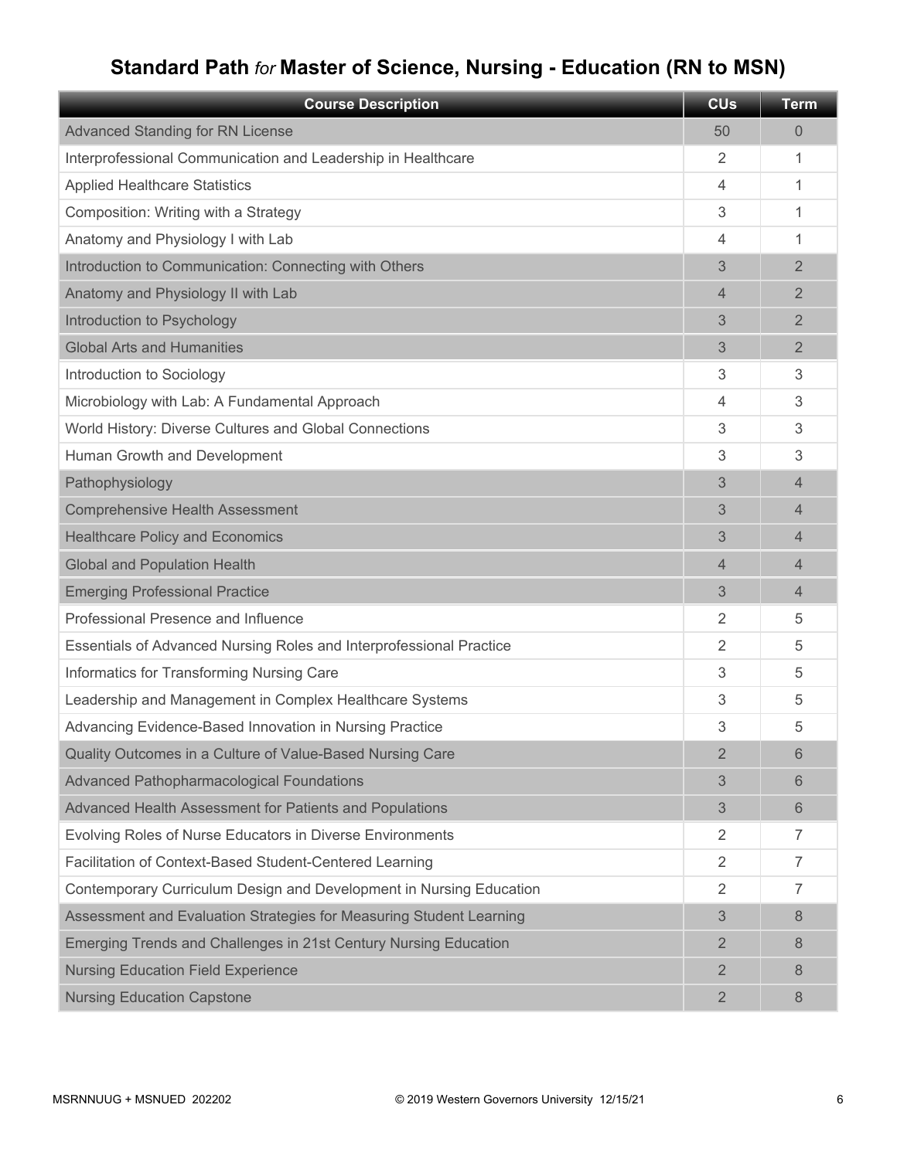# **Standard Path** *for* **Master of Science, Nursing - Education (RN to MSN)**

| <b>Course Description</b>                                           | <b>CU<sub>s</sub></b> | <b>Term</b>    |
|---------------------------------------------------------------------|-----------------------|----------------|
| <b>Advanced Standing for RN License</b>                             | 50                    | 0              |
| Interprofessional Communication and Leadership in Healthcare        | 2                     | 1              |
| <b>Applied Healthcare Statistics</b>                                | 4                     | 1              |
| Composition: Writing with a Strategy                                | 3                     | 1              |
| Anatomy and Physiology I with Lab                                   | 4                     | 1              |
| Introduction to Communication: Connecting with Others               | 3                     | $\overline{2}$ |
| Anatomy and Physiology II with Lab                                  | 4                     | 2              |
| Introduction to Psychology                                          | 3                     | $\overline{2}$ |
| <b>Global Arts and Humanities</b>                                   | 3                     | $\overline{2}$ |
| Introduction to Sociology                                           | 3                     | 3              |
| Microbiology with Lab: A Fundamental Approach                       | 4                     | 3              |
| World History: Diverse Cultures and Global Connections              | 3                     | 3              |
| Human Growth and Development                                        | 3                     | 3              |
| Pathophysiology                                                     | 3                     | $\overline{4}$ |
| <b>Comprehensive Health Assessment</b>                              | 3                     | 4              |
| <b>Healthcare Policy and Economics</b>                              | 3                     | 4              |
| <b>Global and Population Health</b>                                 | 4                     | 4              |
| <b>Emerging Professional Practice</b>                               | 3                     | $\overline{4}$ |
| Professional Presence and Influence                                 | 2                     | 5              |
| Essentials of Advanced Nursing Roles and Interprofessional Practice | 2                     | 5              |
| Informatics for Transforming Nursing Care                           | 3                     | 5              |
| Leadership and Management in Complex Healthcare Systems             | 3                     | 5              |
| Advancing Evidence-Based Innovation in Nursing Practice             | 3                     | 5              |
| Quality Outcomes in a Culture of Value-Based Nursing Care           | $\overline{2}$        | 6              |
| Advanced Pathopharmacological Foundations                           | 3                     | 6              |
| Advanced Health Assessment for Patients and Populations             | 3                     | 6              |
| Evolving Roles of Nurse Educators in Diverse Environments           | $\overline{2}$        | 7              |
| Facilitation of Context-Based Student-Centered Learning             | 2                     | $\overline{7}$ |
| Contemporary Curriculum Design and Development in Nursing Education | 2                     | $\overline{7}$ |
| Assessment and Evaluation Strategies for Measuring Student Learning | 3                     | 8              |
| Emerging Trends and Challenges in 21st Century Nursing Education    | $\overline{2}$        | 8              |
| <b>Nursing Education Field Experience</b>                           | $\overline{2}$        | 8              |
| <b>Nursing Education Capstone</b>                                   | $\overline{2}$        | 8              |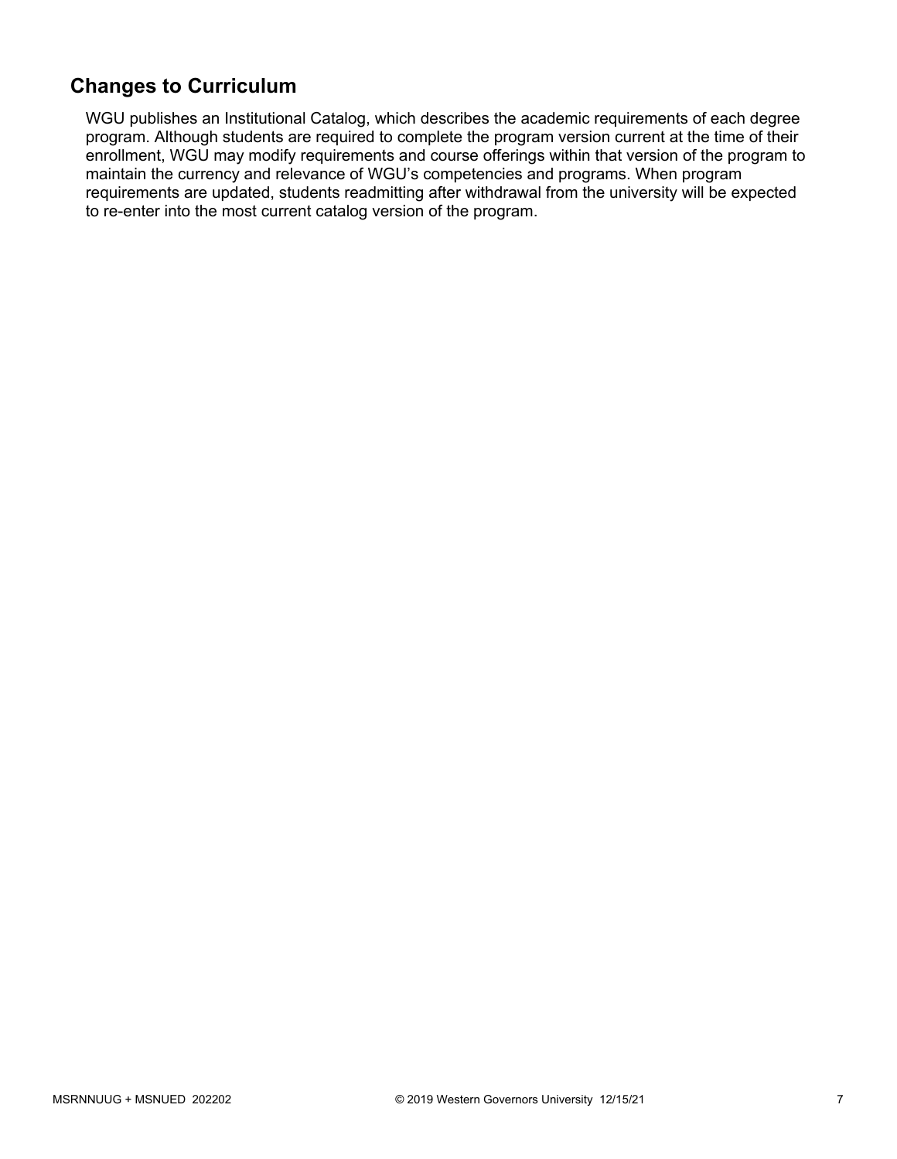# **Changes to Curriculum**

WGU publishes an Institutional Catalog, which describes the academic requirements of each degree program. Although students are required to complete the program version current at the time of their enrollment, WGU may modify requirements and course offerings within that version of the program to maintain the currency and relevance of WGU's competencies and programs. When program requirements are updated, students readmitting after withdrawal from the university will be expected to re-enter into the most current catalog version of the program.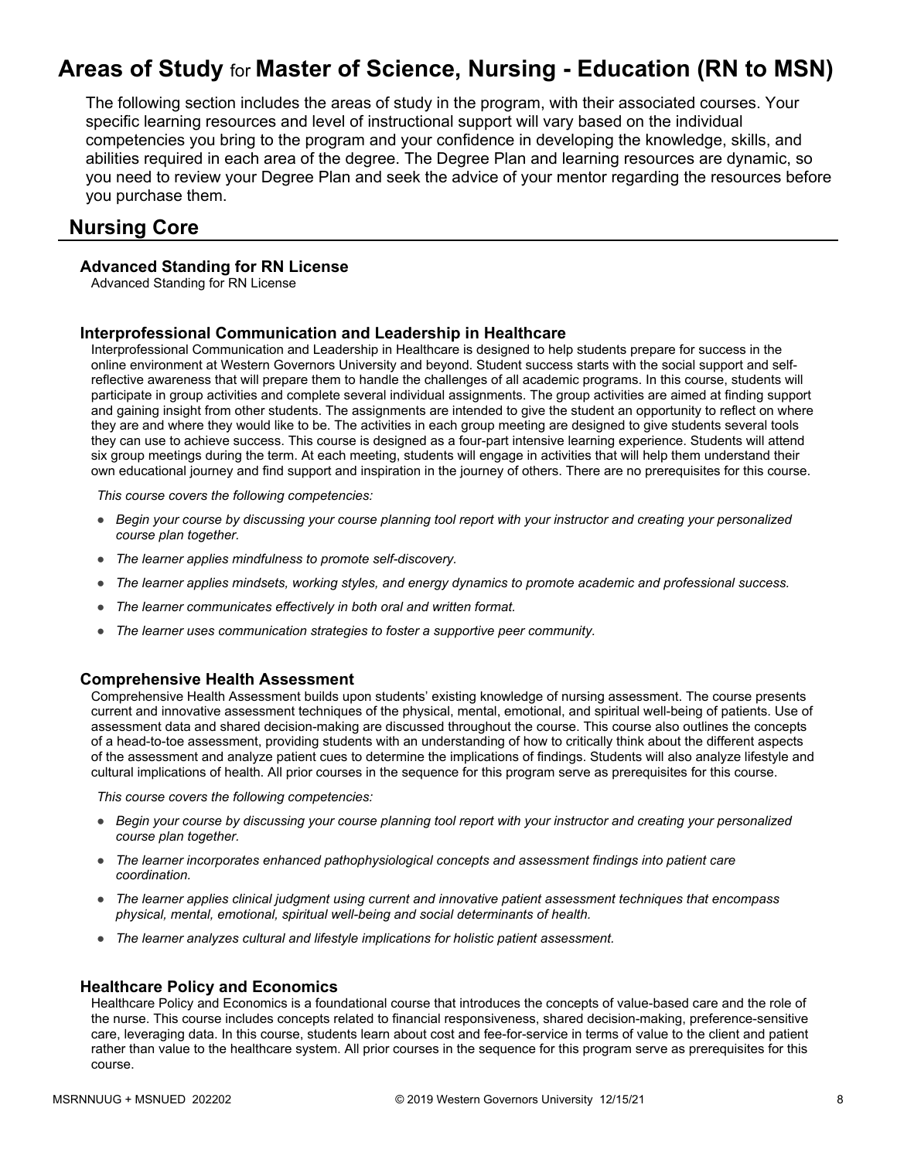# **Areas of Study** for **Master of Science, Nursing - Education (RN to MSN)**

The following section includes the areas of study in the program, with their associated courses. Your specific learning resources and level of instructional support will vary based on the individual competencies you bring to the program and your confidence in developing the knowledge, skills, and abilities required in each area of the degree. The Degree Plan and learning resources are dynamic, so you need to review your Degree Plan and seek the advice of your mentor regarding the resources before you purchase them.

### **Nursing Core**

#### **Advanced Standing for RN License**

Advanced Standing for RN License

#### **Interprofessional Communication and Leadership in Healthcare**

Interprofessional Communication and Leadership in Healthcare is designed to help students prepare for success in the online environment at Western Governors University and beyond. Student success starts with the social support and selfreflective awareness that will prepare them to handle the challenges of all academic programs. In this course, students will participate in group activities and complete several individual assignments. The group activities are aimed at finding support and gaining insight from other students. The assignments are intended to give the student an opportunity to reflect on where they are and where they would like to be. The activities in each group meeting are designed to give students several tools they can use to achieve success. This course is designed as a four-part intensive learning experience. Students will attend six group meetings during the term. At each meeting, students will engage in activities that will help them understand their own educational journey and find support and inspiration in the journey of others. There are no prerequisites for this course.

*This course covers the following competencies:*

- *Begin your course by discussing your course planning tool report with your instructor and creating your personalized course plan together.*
- *The learner applies mindfulness to promote self-discovery.*
- *The learner applies mindsets, working styles, and energy dynamics to promote academic and professional success.*
- *The learner communicates effectively in both oral and written format.*
- *The learner uses communication strategies to foster a supportive peer community.*

#### **Comprehensive Health Assessment**

Comprehensive Health Assessment builds upon students' existing knowledge of nursing assessment. The course presents current and innovative assessment techniques of the physical, mental, emotional, and spiritual well-being of patients. Use of assessment data and shared decision-making are discussed throughout the course. This course also outlines the concepts of a head-to-toe assessment, providing students with an understanding of how to critically think about the different aspects of the assessment and analyze patient cues to determine the implications of findings. Students will also analyze lifestyle and cultural implications of health. All prior courses in the sequence for this program serve as prerequisites for this course.

*This course covers the following competencies:*

- *Begin your course by discussing your course planning tool report with your instructor and creating your personalized course plan together.*
- *The learner incorporates enhanced pathophysiological concepts and assessment findings into patient care coordination.*
- *The learner applies clinical judgment using current and innovative patient assessment techniques that encompass physical, mental, emotional, spiritual well-being and social determinants of health.*
- *The learner analyzes cultural and lifestyle implications for holistic patient assessment.*

#### **Healthcare Policy and Economics**

Healthcare Policy and Economics is a foundational course that introduces the concepts of value-based care and the role of the nurse. This course includes concepts related to financial responsiveness, shared decision-making, preference-sensitive care, leveraging data. In this course, students learn about cost and fee-for-service in terms of value to the client and patient rather than value to the healthcare system. All prior courses in the sequence for this program serve as prerequisites for this course.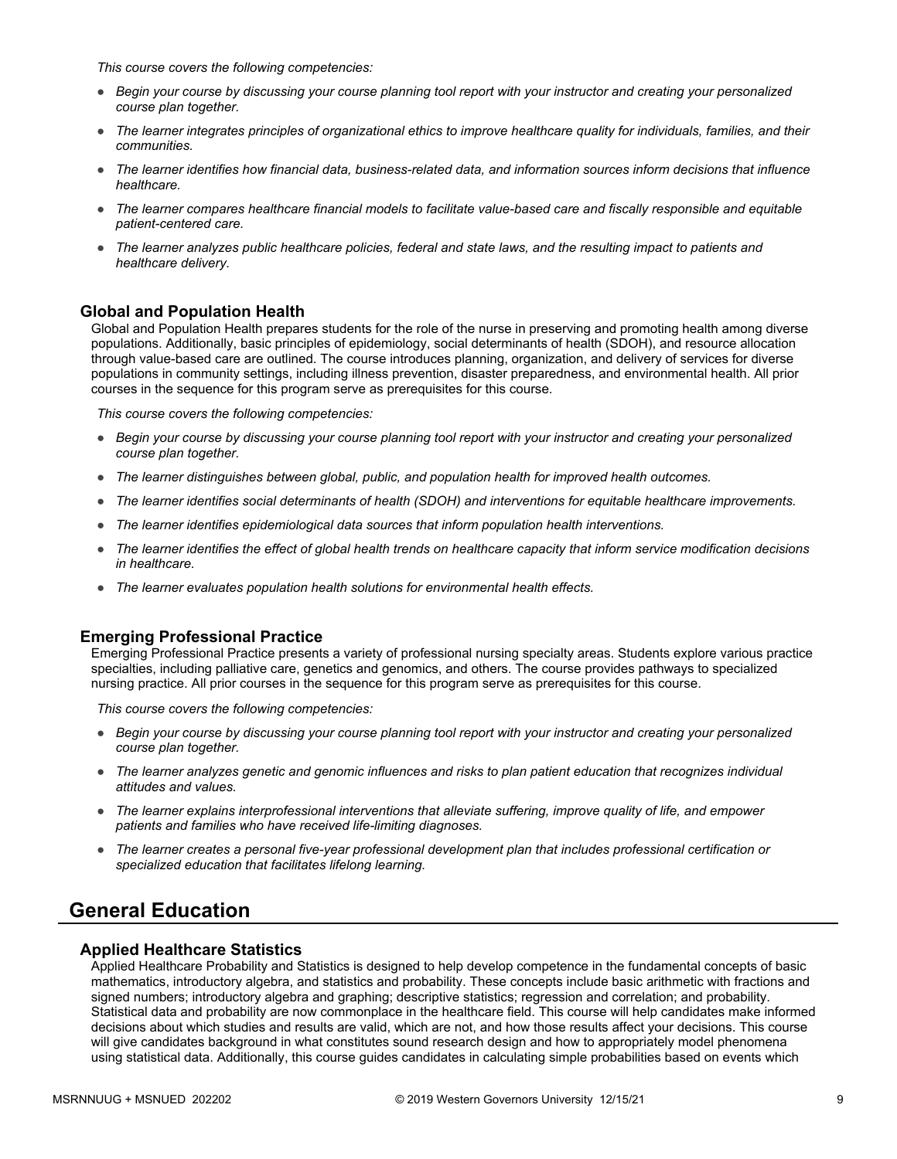*This course covers the following competencies:*

- *Begin your course by discussing your course planning tool report with your instructor and creating your personalized course plan together.*
- *The learner integrates principles of organizational ethics to improve healthcare quality for individuals, families, and their communities.*
- *The learner identifies how financial data, business-related data, and information sources inform decisions that influence healthcare.*
- *The learner compares healthcare financial models to facilitate value-based care and fiscally responsible and equitable patient-centered care.*
- *The learner analyzes public healthcare policies, federal and state laws, and the resulting impact to patients and healthcare delivery.*

#### **Global and Population Health**

Global and Population Health prepares students for the role of the nurse in preserving and promoting health among diverse populations. Additionally, basic principles of epidemiology, social determinants of health (SDOH), and resource allocation through value-based care are outlined. The course introduces planning, organization, and delivery of services for diverse populations in community settings, including illness prevention, disaster preparedness, and environmental health. All prior courses in the sequence for this program serve as prerequisites for this course.

*This course covers the following competencies:*

- *Begin your course by discussing your course planning tool report with your instructor and creating your personalized course plan together.*
- *The learner distinguishes between global, public, and population health for improved health outcomes.*
- *The learner identifies social determinants of health (SDOH) and interventions for equitable healthcare improvements.*
- *The learner identifies epidemiological data sources that inform population health interventions.*
- *The learner identifies the effect of global health trends on healthcare capacity that inform service modification decisions in healthcare.*
- *The learner evaluates population health solutions for environmental health effects.*

#### **Emerging Professional Practice**

Emerging Professional Practice presents a variety of professional nursing specialty areas. Students explore various practice specialties, including palliative care, genetics and genomics, and others. The course provides pathways to specialized nursing practice. All prior courses in the sequence for this program serve as prerequisites for this course.

*This course covers the following competencies:*

- *Begin your course by discussing your course planning tool report with your instructor and creating your personalized course plan together.*
- *The learner analyzes genetic and genomic influences and risks to plan patient education that recognizes individual attitudes and values.*
- *The learner explains interprofessional interventions that alleviate suffering, improve quality of life, and empower patients and families who have received life-limiting diagnoses.*
- *The learner creates a personal five-year professional development plan that includes professional certification or specialized education that facilitates lifelong learning.*

### **General Education**

#### **Applied Healthcare Statistics**

Applied Healthcare Probability and Statistics is designed to help develop competence in the fundamental concepts of basic mathematics, introductory algebra, and statistics and probability. These concepts include basic arithmetic with fractions and signed numbers; introductory algebra and graphing; descriptive statistics; regression and correlation; and probability. Statistical data and probability are now commonplace in the healthcare field. This course will help candidates make informed decisions about which studies and results are valid, which are not, and how those results affect your decisions. This course will give candidates background in what constitutes sound research design and how to appropriately model phenomena using statistical data. Additionally, this course guides candidates in calculating simple probabilities based on events which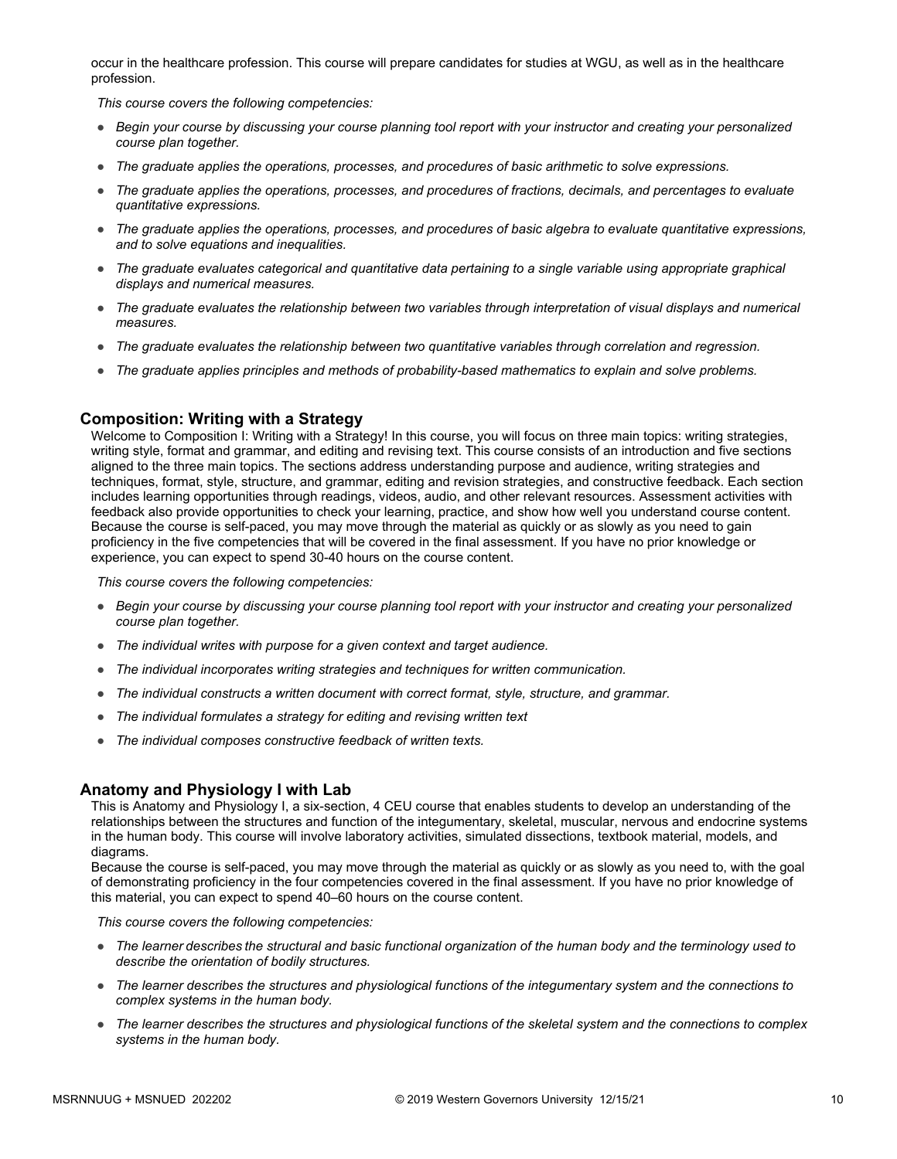occur in the healthcare profession. This course will prepare candidates for studies at WGU, as well as in the healthcare profession.

*This course covers the following competencies:*

- *Begin your course by discussing your course planning tool report with your instructor and creating your personalized course plan together.*
- *The graduate applies the operations, processes, and procedures of basic arithmetic to solve expressions.*
- *The graduate applies the operations, processes, and procedures of fractions, decimals, and percentages to evaluate quantitative expressions.*
- *The graduate applies the operations, processes, and procedures of basic algebra to evaluate quantitative expressions, and to solve equations and inequalities.*
- *The graduate evaluates categorical and quantitative data pertaining to a single variable using appropriate graphical displays and numerical measures.*
- *The graduate evaluates the relationship between two variables through interpretation of visual displays and numerical measures.*
- *The graduate evaluates the relationship between two quantitative variables through correlation and regression.*
- *The graduate applies principles and methods of probability-based mathematics to explain and solve problems.*

#### **Composition: Writing with a Strategy**

Welcome to Composition I: Writing with a Strategy! In this course, you will focus on three main topics: writing strategies, writing style, format and grammar, and editing and revising text. This course consists of an introduction and five sections aligned to the three main topics. The sections address understanding purpose and audience, writing strategies and techniques, format, style, structure, and grammar, editing and revision strategies, and constructive feedback. Each section includes learning opportunities through readings, videos, audio, and other relevant resources. Assessment activities with feedback also provide opportunities to check your learning, practice, and show how well you understand course content. Because the course is self-paced, you may move through the material as quickly or as slowly as you need to gain proficiency in the five competencies that will be covered in the final assessment. If you have no prior knowledge or experience, you can expect to spend 30-40 hours on the course content.

*This course covers the following competencies:*

- *Begin your course by discussing your course planning tool report with your instructor and creating your personalized course plan together.*
- *The individual writes with purpose for a given context and target audience.*
- *The individual incorporates writing strategies and techniques for written communication.*
- *The individual constructs a written document with correct format, style, structure, and grammar.*
- *The individual formulates a strategy for editing and revising written text*
- *The individual composes constructive feedback of written texts.*

#### **Anatomy and Physiology I with Lab**

This is Anatomy and Physiology I, a six-section, 4 CEU course that enables students to develop an understanding of the relationships between the structures and function of the integumentary, skeletal, muscular, nervous and endocrine systems in the human body. This course will involve laboratory activities, simulated dissections, textbook material, models, and diagrams.

Because the course is self-paced, you may move through the material as quickly or as slowly as you need to, with the goal of demonstrating proficiency in the four competencies covered in the final assessment. If you have no prior knowledge of this material, you can expect to spend 40–60 hours on the course content.

- The learner describes the structural and basic functional organization of the human body and the terminology used to *describe the orientation of bodily structures.*
- *The learner describes the structures and physiological functions of the integumentary system and the connections to complex systems in the human body.*
- *The learner describes the structures and physiological functions of the skeletal system and the connections to complex systems in the human body.*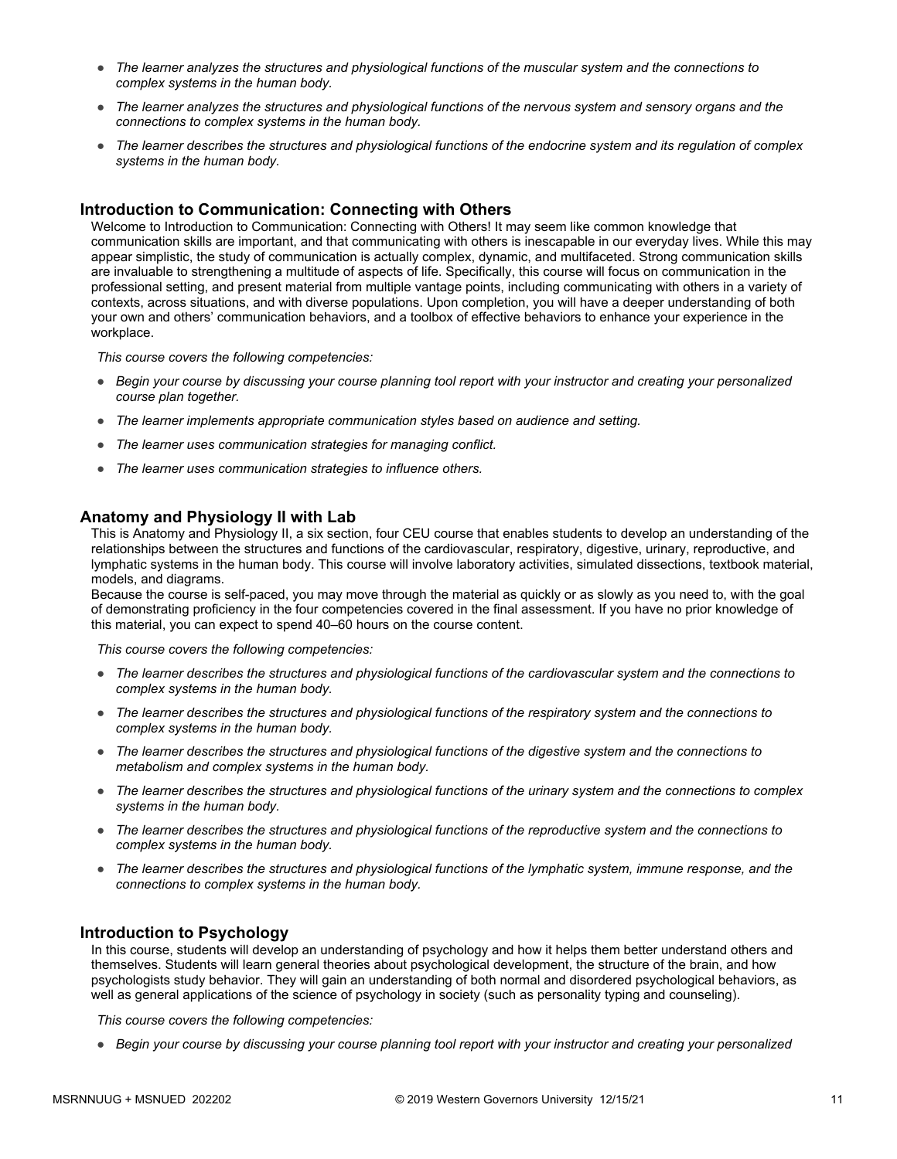- *The learner analyzes the structures and physiological functions of the muscular system and the connections to complex systems in the human body.*
- *The learner analyzes the structures and physiological functions of the nervous system and sensory organs and the connections to complex systems in the human body.*
- *The learner describes the structures and physiological functions of the endocrine system and its regulation of complex systems in the human body.*

#### **Introduction to Communication: Connecting with Others**

Welcome to Introduction to Communication: Connecting with Others! It may seem like common knowledge that communication skills are important, and that communicating with others is inescapable in our everyday lives. While this may appear simplistic, the study of communication is actually complex, dynamic, and multifaceted. Strong communication skills are invaluable to strengthening a multitude of aspects of life. Specifically, this course will focus on communication in the professional setting, and present material from multiple vantage points, including communicating with others in a variety of contexts, across situations, and with diverse populations. Upon completion, you will have a deeper understanding of both your own and others' communication behaviors, and a toolbox of effective behaviors to enhance your experience in the workplace.

*This course covers the following competencies:*

- *Begin your course by discussing your course planning tool report with your instructor and creating your personalized course plan together.*
- *The learner implements appropriate communication styles based on audience and setting.*
- *The learner uses communication strategies for managing conflict.*
- *The learner uses communication strategies to influence others.*

#### **Anatomy and Physiology II with Lab**

This is Anatomy and Physiology II, a six section, four CEU course that enables students to develop an understanding of the relationships between the structures and functions of the cardiovascular, respiratory, digestive, urinary, reproductive, and lymphatic systems in the human body. This course will involve laboratory activities, simulated dissections, textbook material, models, and diagrams.

Because the course is self-paced, you may move through the material as quickly or as slowly as you need to, with the goal of demonstrating proficiency in the four competencies covered in the final assessment. If you have no prior knowledge of this material, you can expect to spend 40–60 hours on the course content.

*This course covers the following competencies:*

- *The learner describes the structures and physiological functions of the cardiovascular system and the connections to complex systems in the human body.*
- *The learner describes the structures and physiological functions of the respiratory system and the connections to complex systems in the human body.*
- *The learner describes the structures and physiological functions of the digestive system and the connections to metabolism and complex systems in the human body.*
- *The learner describes the structures and physiological functions of the urinary system and the connections to complex systems in the human body.*
- *The learner describes the structures and physiological functions of the reproductive system and the connections to complex systems in the human body.*
- *The learner describes the structures and physiological functions of the lymphatic system, immune response, and the connections to complex systems in the human body.*

#### **Introduction to Psychology**

In this course, students will develop an understanding of psychology and how it helps them better understand others and themselves. Students will learn general theories about psychological development, the structure of the brain, and how psychologists study behavior. They will gain an understanding of both normal and disordered psychological behaviors, as well as general applications of the science of psychology in society (such as personality typing and counseling).

*This course covers the following competencies:*

● *Begin your course by discussing your course planning tool report with your instructor and creating your personalized*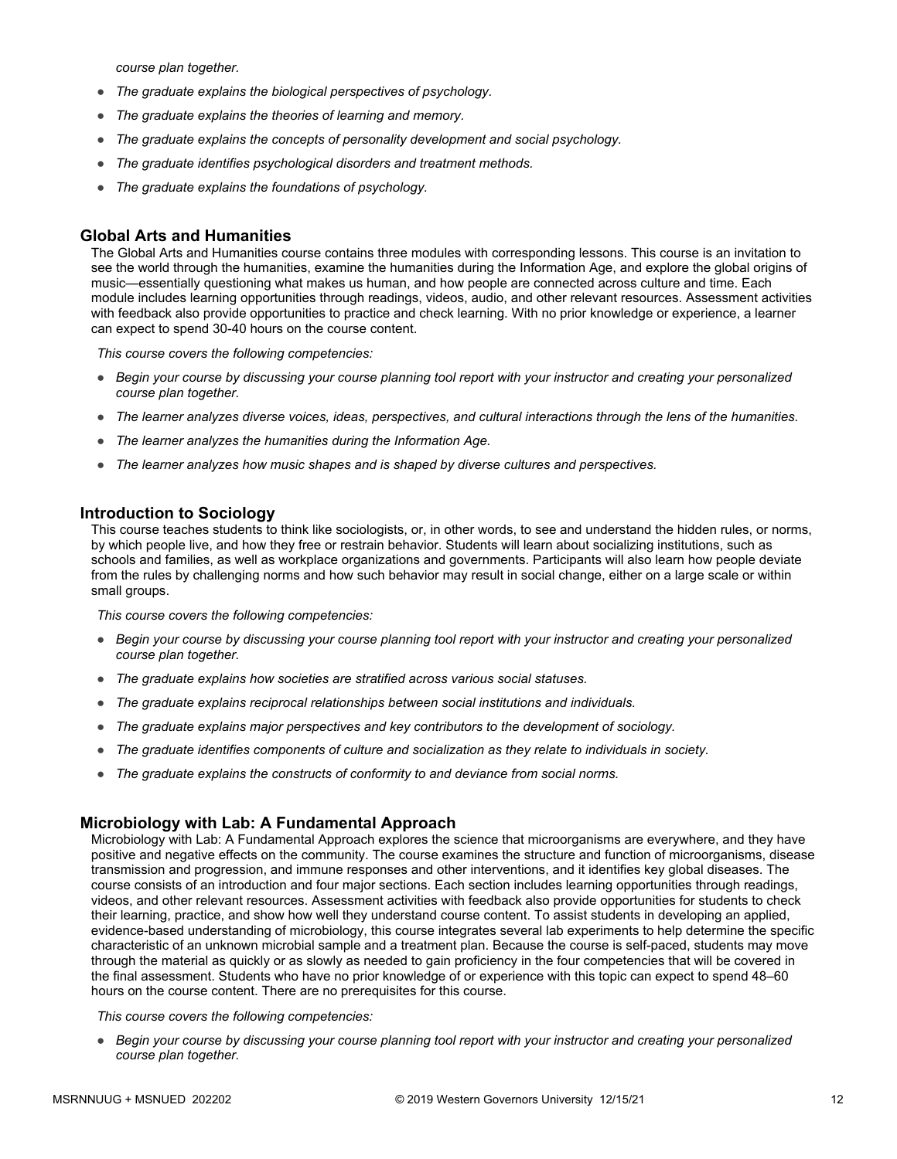*course plan together.*

- *The graduate explains the biological perspectives of psychology.*
- *The graduate explains the theories of learning and memory.*
- *The graduate explains the concepts of personality development and social psychology.*
- *The graduate identifies psychological disorders and treatment methods.*
- *The graduate explains the foundations of psychology.*

#### **Global Arts and Humanities**

The Global Arts and Humanities course contains three modules with corresponding lessons. This course is an invitation to see the world through the humanities, examine the humanities during the Information Age, and explore the global origins of music—essentially questioning what makes us human, and how people are connected across culture and time. Each module includes learning opportunities through readings, videos, audio, and other relevant resources. Assessment activities with feedback also provide opportunities to practice and check learning. With no prior knowledge or experience, a learner can expect to spend 30-40 hours on the course content.

*This course covers the following competencies:*

- *Begin your course by discussing your course planning tool report with your instructor and creating your personalized course plan together.*
- *The learner analyzes diverse voices, ideas, perspectives, and cultural interactions through the lens of the humanities.*
- *The learner analyzes the humanities during the Information Age.*
- *The learner analyzes how music shapes and is shaped by diverse cultures and perspectives.*

#### **Introduction to Sociology**

This course teaches students to think like sociologists, or, in other words, to see and understand the hidden rules, or norms, by which people live, and how they free or restrain behavior. Students will learn about socializing institutions, such as schools and families, as well as workplace organizations and governments. Participants will also learn how people deviate from the rules by challenging norms and how such behavior may result in social change, either on a large scale or within small groups.

*This course covers the following competencies:*

- *Begin your course by discussing your course planning tool report with your instructor and creating your personalized course plan together.*
- *The graduate explains how societies are stratified across various social statuses.*
- *The graduate explains reciprocal relationships between social institutions and individuals.*
- *The graduate explains major perspectives and key contributors to the development of sociology.*
- *The graduate identifies components of culture and socialization as they relate to individuals in society.*
- *The graduate explains the constructs of conformity to and deviance from social norms.*

#### **Microbiology with Lab: A Fundamental Approach**

Microbiology with Lab: A Fundamental Approach explores the science that microorganisms are everywhere, and they have positive and negative effects on the community. The course examines the structure and function of microorganisms, disease transmission and progression, and immune responses and other interventions, and it identifies key global diseases. The course consists of an introduction and four major sections. Each section includes learning opportunities through readings, videos, and other relevant resources. Assessment activities with feedback also provide opportunities for students to check their learning, practice, and show how well they understand course content. To assist students in developing an applied, evidence-based understanding of microbiology, this course integrates several lab experiments to help determine the specific characteristic of an unknown microbial sample and a treatment plan. Because the course is self-paced, students may move through the material as quickly or as slowly as needed to gain proficiency in the four competencies that will be covered in the final assessment. Students who have no prior knowledge of or experience with this topic can expect to spend 48–60 hours on the course content. There are no prerequisites for this course.

#### *This course covers the following competencies:*

● *Begin your course by discussing your course planning tool report with your instructor and creating your personalized course plan together.*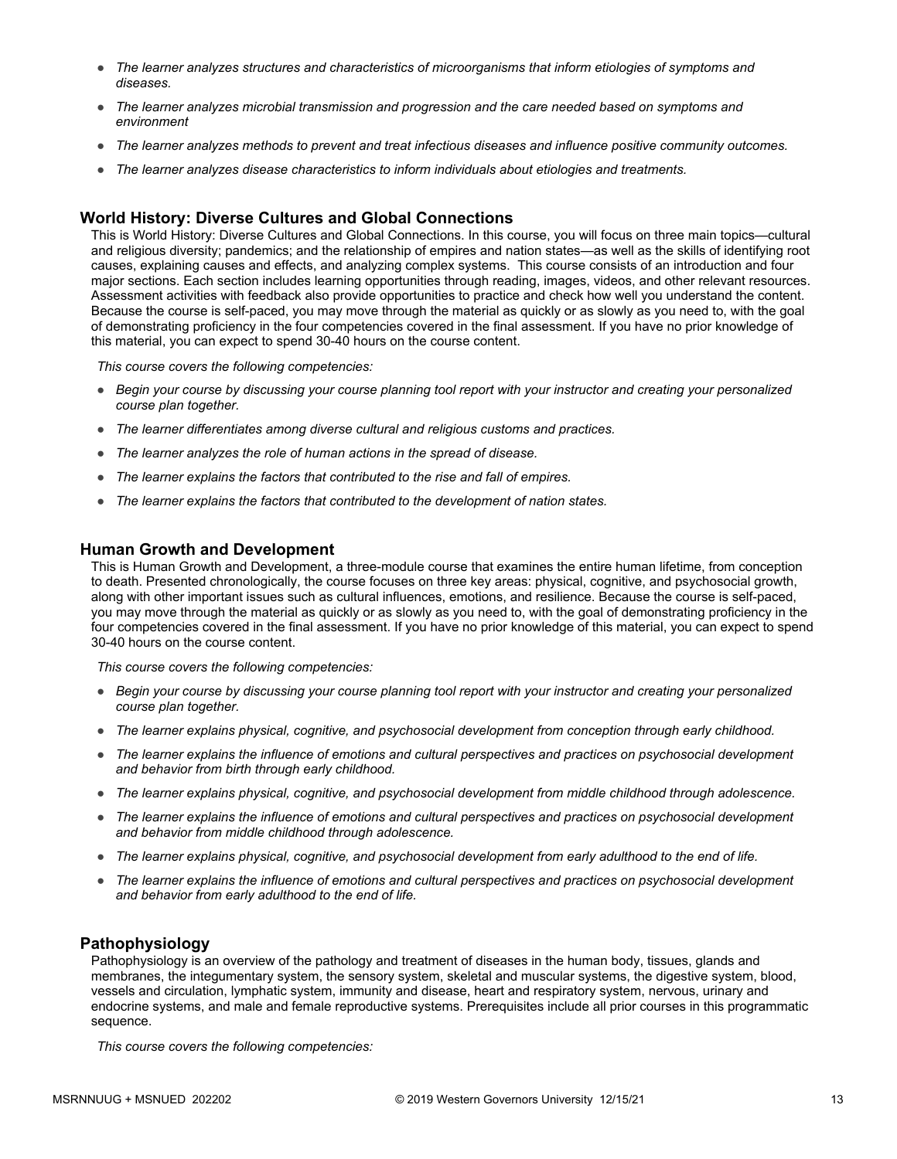- *The learner analyzes structures and characteristics of microorganisms that inform etiologies of symptoms and diseases.*
- *The learner analyzes microbial transmission and progression and the care needed based on symptoms and environment*
- *The learner analyzes methods to prevent and treat infectious diseases and influence positive community outcomes.*
- *The learner analyzes disease characteristics to inform individuals about etiologies and treatments.*

#### **World History: Diverse Cultures and Global Connections**

This is World History: Diverse Cultures and Global Connections. In this course, you will focus on three main topics—cultural and religious diversity; pandemics; and the relationship of empires and nation states—as well as the skills of identifying root causes, explaining causes and effects, and analyzing complex systems. This course consists of an introduction and four major sections. Each section includes learning opportunities through reading, images, videos, and other relevant resources. Assessment activities with feedback also provide opportunities to practice and check how well you understand the content. Because the course is self-paced, you may move through the material as quickly or as slowly as you need to, with the goal of demonstrating proficiency in the four competencies covered in the final assessment. If you have no prior knowledge of this material, you can expect to spend 30-40 hours on the course content.

*This course covers the following competencies:*

- *Begin your course by discussing your course planning tool report with your instructor and creating your personalized course plan together.*
- *The learner differentiates among diverse cultural and religious customs and practices.*
- *The learner analyzes the role of human actions in the spread of disease.*
- *The learner explains the factors that contributed to the rise and fall of empires.*
- *The learner explains the factors that contributed to the development of nation states.*

#### **Human Growth and Development**

This is Human Growth and Development, a three-module course that examines the entire human lifetime, from conception to death. Presented chronologically, the course focuses on three key areas: physical, cognitive, and psychosocial growth, along with other important issues such as cultural influences, emotions, and resilience. Because the course is self-paced, you may move through the material as quickly or as slowly as you need to, with the goal of demonstrating proficiency in the four competencies covered in the final assessment. If you have no prior knowledge of this material, you can expect to spend 30-40 hours on the course content.

*This course covers the following competencies:*

- *Begin your course by discussing your course planning tool report with your instructor and creating your personalized course plan together.*
- *The learner explains physical, cognitive, and psychosocial development from conception through early childhood.*
- *The learner explains the influence of emotions and cultural perspectives and practices on psychosocial development and behavior from birth through early childhood.*
- *The learner explains physical, cognitive, and psychosocial development from middle childhood through adolescence.*
- *The learner explains the influence of emotions and cultural perspectives and practices on psychosocial development and behavior from middle childhood through adolescence.*
- *The learner explains physical, cognitive, and psychosocial development from early adulthood to the end of life.*
- The learner explains the influence of emotions and cultural perspectives and practices on psychosocial development *and behavior from early adulthood to the end of life.*

#### **Pathophysiology**

Pathophysiology is an overview of the pathology and treatment of diseases in the human body, tissues, glands and membranes, the integumentary system, the sensory system, skeletal and muscular systems, the digestive system, blood, vessels and circulation, lymphatic system, immunity and disease, heart and respiratory system, nervous, urinary and endocrine systems, and male and female reproductive systems. Prerequisites include all prior courses in this programmatic sequence.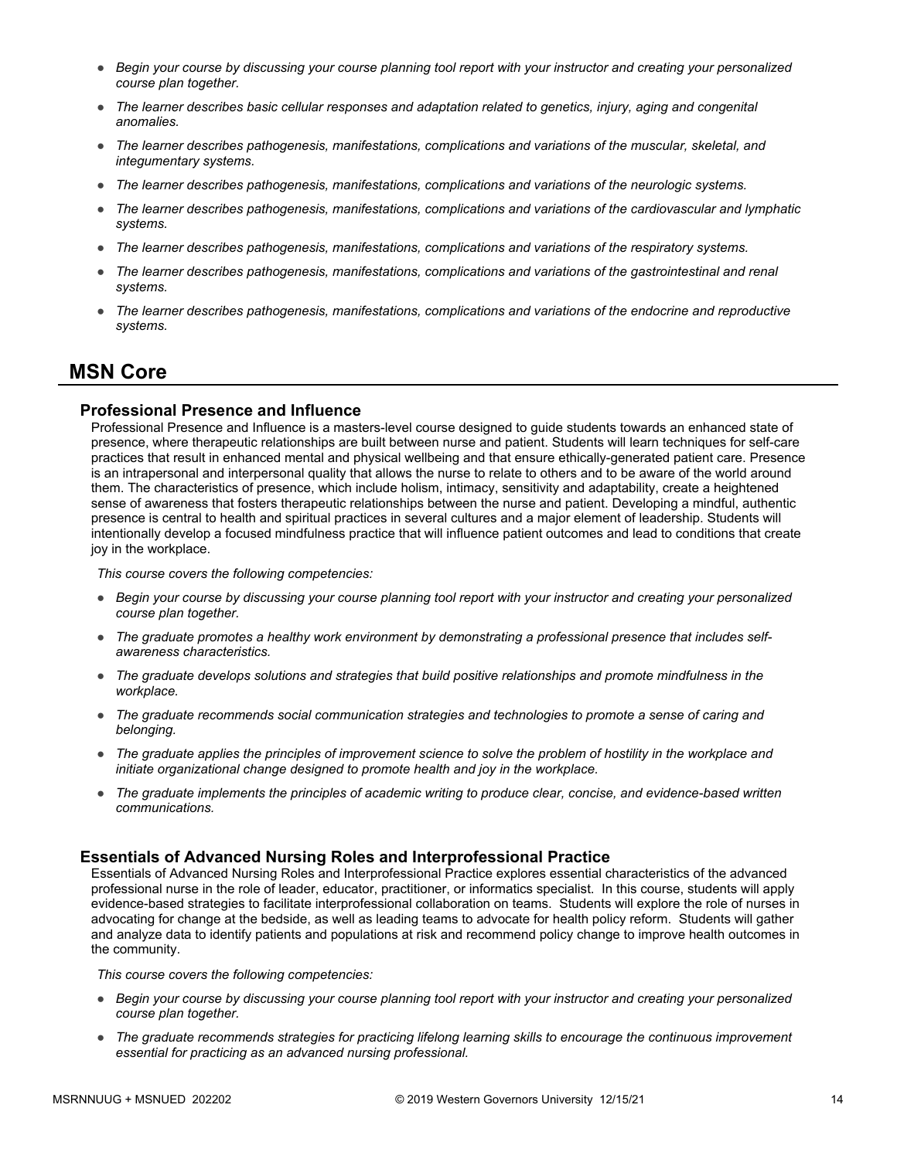- *Begin your course by discussing your course planning tool report with your instructor and creating your personalized course plan together.*
- *The learner describes basic cellular responses and adaptation related to genetics, injury, aging and congenital anomalies.*
- *The learner describes pathogenesis, manifestations, complications and variations of the muscular, skeletal, and integumentary systems.*
- *The learner describes pathogenesis, manifestations, complications and variations of the neurologic systems.*
- *The learner describes pathogenesis, manifestations, complications and variations of the cardiovascular and lymphatic systems.*
- *The learner describes pathogenesis, manifestations, complications and variations of the respiratory systems.*
- *The learner describes pathogenesis, manifestations, complications and variations of the gastrointestinal and renal systems.*
- *The learner describes pathogenesis, manifestations, complications and variations of the endocrine and reproductive systems.*

### **MSN Core**

#### **Professional Presence and Influence**

Professional Presence and Influence is a masters-level course designed to guide students towards an enhanced state of presence, where therapeutic relationships are built between nurse and patient. Students will learn techniques for self-care practices that result in enhanced mental and physical wellbeing and that ensure ethically-generated patient care. Presence is an intrapersonal and interpersonal quality that allows the nurse to relate to others and to be aware of the world around them. The characteristics of presence, which include holism, intimacy, sensitivity and adaptability, create a heightened sense of awareness that fosters therapeutic relationships between the nurse and patient. Developing a mindful, authentic presence is central to health and spiritual practices in several cultures and a major element of leadership. Students will intentionally develop a focused mindfulness practice that will influence patient outcomes and lead to conditions that create joy in the workplace.

*This course covers the following competencies:*

- *Begin your course by discussing your course planning tool report with your instructor and creating your personalized course plan together.*
- *The graduate promotes a healthy work environment by demonstrating a professional presence that includes selfawareness characteristics.*
- *The graduate develops solutions and strategies that build positive relationships and promote mindfulness in the workplace.*
- *The graduate recommends social communication strategies and technologies to promote a sense of caring and belonging.*
- *The graduate applies the principles of improvement science to solve the problem of hostility in the workplace and initiate organizational change designed to promote health and joy in the workplace.*
- *The graduate implements the principles of academic writing to produce clear, concise, and evidence-based written communications.*

#### **Essentials of Advanced Nursing Roles and Interprofessional Practice**

Essentials of Advanced Nursing Roles and Interprofessional Practice explores essential characteristics of the advanced professional nurse in the role of leader, educator, practitioner, or informatics specialist. In this course, students will apply evidence-based strategies to facilitate interprofessional collaboration on teams. Students will explore the role of nurses in advocating for change at the bedside, as well as leading teams to advocate for health policy reform. Students will gather and analyze data to identify patients and populations at risk and recommend policy change to improve health outcomes in the community.

- *Begin your course by discussing your course planning tool report with your instructor and creating your personalized course plan together.*
- *The graduate recommends strategies for practicing lifelong learning skills to encourage the continuous improvement essential for practicing as an advanced nursing professional.*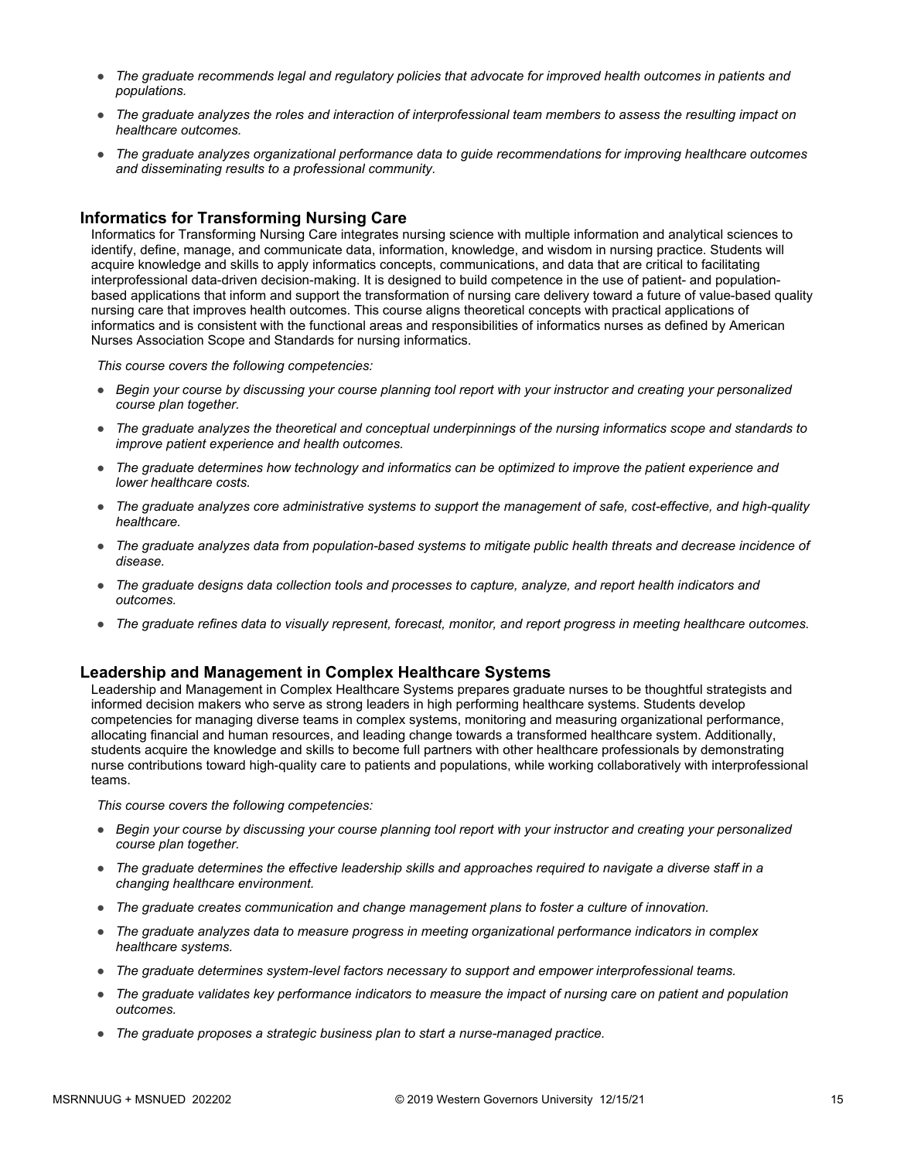- *The graduate recommends legal and regulatory policies that advocate for improved health outcomes in patients and populations.*
- *The graduate analyzes the roles and interaction of interprofessional team members to assess the resulting impact on healthcare outcomes.*
- *The graduate analyzes organizational performance data to guide recommendations for improving healthcare outcomes and disseminating results to a professional community.*

#### **Informatics for Transforming Nursing Care**

Informatics for Transforming Nursing Care integrates nursing science with multiple information and analytical sciences to identify, define, manage, and communicate data, information, knowledge, and wisdom in nursing practice. Students will acquire knowledge and skills to apply informatics concepts, communications, and data that are critical to facilitating interprofessional data-driven decision-making. It is designed to build competence in the use of patient- and populationbased applications that inform and support the transformation of nursing care delivery toward a future of value-based quality nursing care that improves health outcomes. This course aligns theoretical concepts with practical applications of informatics and is consistent with the functional areas and responsibilities of informatics nurses as defined by American Nurses Association Scope and Standards for nursing informatics.

*This course covers the following competencies:*

- *Begin your course by discussing your course planning tool report with your instructor and creating your personalized course plan together.*
- *The graduate analyzes the theoretical and conceptual underpinnings of the nursing informatics scope and standards to improve patient experience and health outcomes.*
- *The graduate determines how technology and informatics can be optimized to improve the patient experience and lower healthcare costs.*
- *The graduate analyzes core administrative systems to support the management of safe, cost-effective, and high-quality healthcare.*
- *The graduate analyzes data from population-based systems to mitigate public health threats and decrease incidence of disease.*
- *The graduate designs data collection tools and processes to capture, analyze, and report health indicators and outcomes.*
- *The graduate refines data to visually represent, forecast, monitor, and report progress in meeting healthcare outcomes.*

#### **Leadership and Management in Complex Healthcare Systems**

Leadership and Management in Complex Healthcare Systems prepares graduate nurses to be thoughtful strategists and informed decision makers who serve as strong leaders in high performing healthcare systems. Students develop competencies for managing diverse teams in complex systems, monitoring and measuring organizational performance, allocating financial and human resources, and leading change towards a transformed healthcare system. Additionally, students acquire the knowledge and skills to become full partners with other healthcare professionals by demonstrating nurse contributions toward high-quality care to patients and populations, while working collaboratively with interprofessional teams.

- *Begin your course by discussing your course planning tool report with your instructor and creating your personalized course plan together.*
- *The graduate determines the effective leadership skills and approaches required to navigate a diverse staff in a changing healthcare environment.*
- *The graduate creates communication and change management plans to foster a culture of innovation.*
- *The graduate analyzes data to measure progress in meeting organizational performance indicators in complex healthcare systems.*
- *The graduate determines system-level factors necessary to support and empower interprofessional teams.*
- *The graduate validates key performance indicators to measure the impact of nursing care on patient and population outcomes.*
- *The graduate proposes a strategic business plan to start a nurse-managed practice.*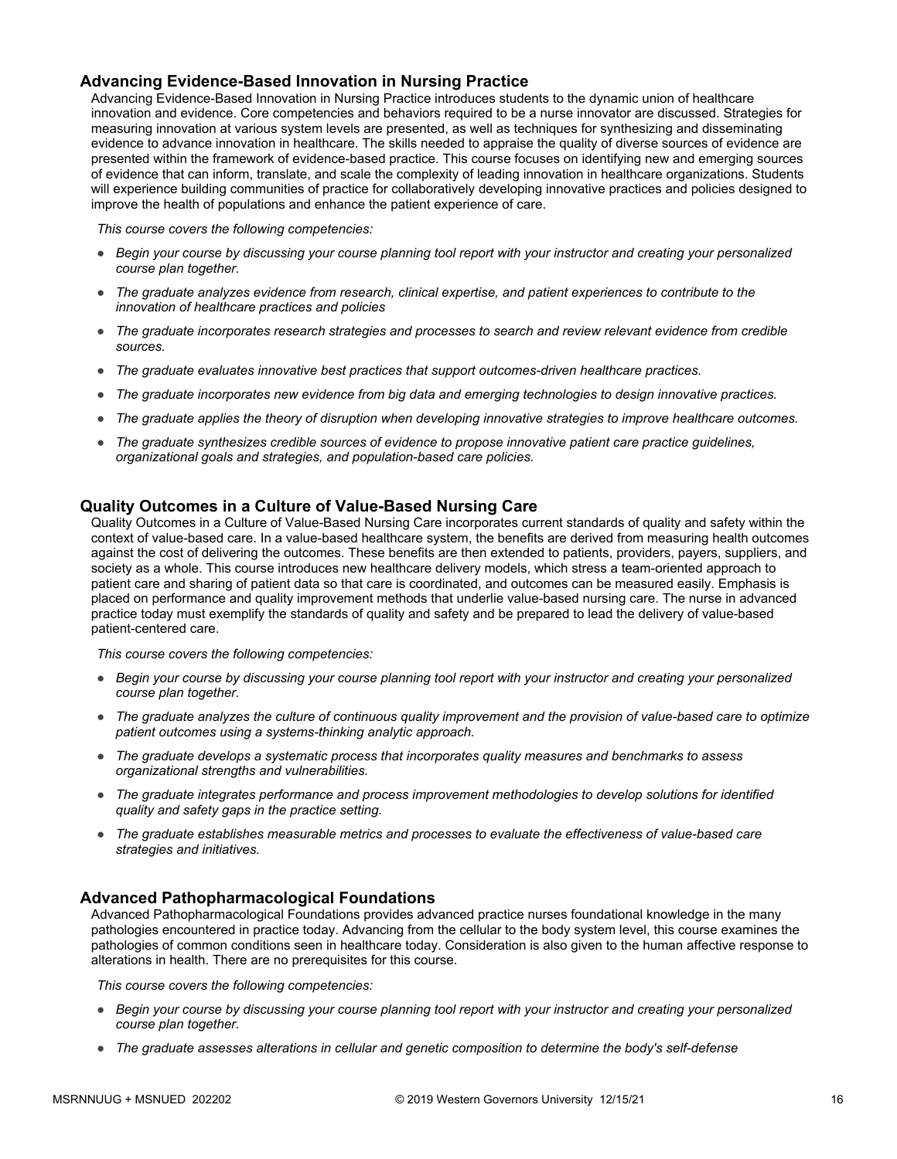#### **Advancing Evidence-Based Innovation in Nursing Practice**

Advancing Evidence-Based Innovation in Nursing Practice introduces students to the dynamic union of healthcare innovation and evidence. Core competencies and behaviors required to be a nurse innovator are discussed. Strategies for measuring innovation at various system levels are presented, as well as techniques for synthesizing and disseminating evidence to advance innovation in healthcare. The skills needed to appraise the quality of diverse sources of evidence are presented within the framework of evidence-based practice. This course focuses on identifying new and emerging sources of evidence that can inform, translate, and scale the complexity of leading innovation in healthcare organizations. Students will experience building communities of practice for collaboratively developing innovative practices and policies designed to improve the health of populations and enhance the patient experience of care.

*This course covers the following competencies:*

- *Begin your course by discussing your course planning tool report with your instructor and creating your personalized course plan together.*
- *The graduate analyzes evidence from research, clinical expertise, and patient experiences to contribute to the innovation of healthcare practices and policies*
- *The graduate incorporates research strategies and processes to search and review relevant evidence from credible sources.*
- *The graduate evaluates innovative best practices that support outcomes-driven healthcare practices.*
- *The graduate incorporates new evidence from big data and emerging technologies to design innovative practices.*
- *The graduate applies the theory of disruption when developing innovative strategies to improve healthcare outcomes.*
- *The graduate synthesizes credible sources of evidence to propose innovative patient care practice guidelines, organizational goals and strategies, and population-based care policies.*

#### **Quality Outcomes in a Culture of Value-Based Nursing Care**

Quality Outcomes in a Culture of Value-Based Nursing Care incorporates current standards of quality and safety within the context of value-based care. In a value-based healthcare system, the benefits are derived from measuring health outcomes against the cost of delivering the outcomes. These benefits are then extended to patients, providers, payers, suppliers, and society as a whole. This course introduces new healthcare delivery models, which stress a team-oriented approach to patient care and sharing of patient data so that care is coordinated, and outcomes can be measured easily. Emphasis is placed on performance and quality improvement methods that underlie value-based nursing care. The nurse in advanced practice today must exemplify the standards of quality and safety and be prepared to lead the delivery of value-based patient-centered care.

*This course covers the following competencies:*

- *Begin your course by discussing your course planning tool report with your instructor and creating your personalized course plan together.*
- *The graduate analyzes the culture of continuous quality improvement and the provision of value-based care to optimize patient outcomes using a systems-thinking analytic approach.*
- *The graduate develops a systematic process that incorporates quality measures and benchmarks to assess organizational strengths and vulnerabilities.*
- *The graduate integrates performance and process improvement methodologies to develop solutions for identified quality and safety gaps in the practice setting.*
- *The graduate establishes measurable metrics and processes to evaluate the effectiveness of value-based care strategies and initiatives.*

#### **Advanced Pathopharmacological Foundations**

Advanced Pathopharmacological Foundations provides advanced practice nurses foundational knowledge in the many pathologies encountered in practice today. Advancing from the cellular to the body system level, this course examines the pathologies of common conditions seen in healthcare today. Consideration is also given to the human affective response to alterations in health. There are no prerequisites for this course.

- *Begin your course by discussing your course planning tool report with your instructor and creating your personalized course plan together.*
- *The graduate assesses alterations in cellular and genetic composition to determine the body's self-defense*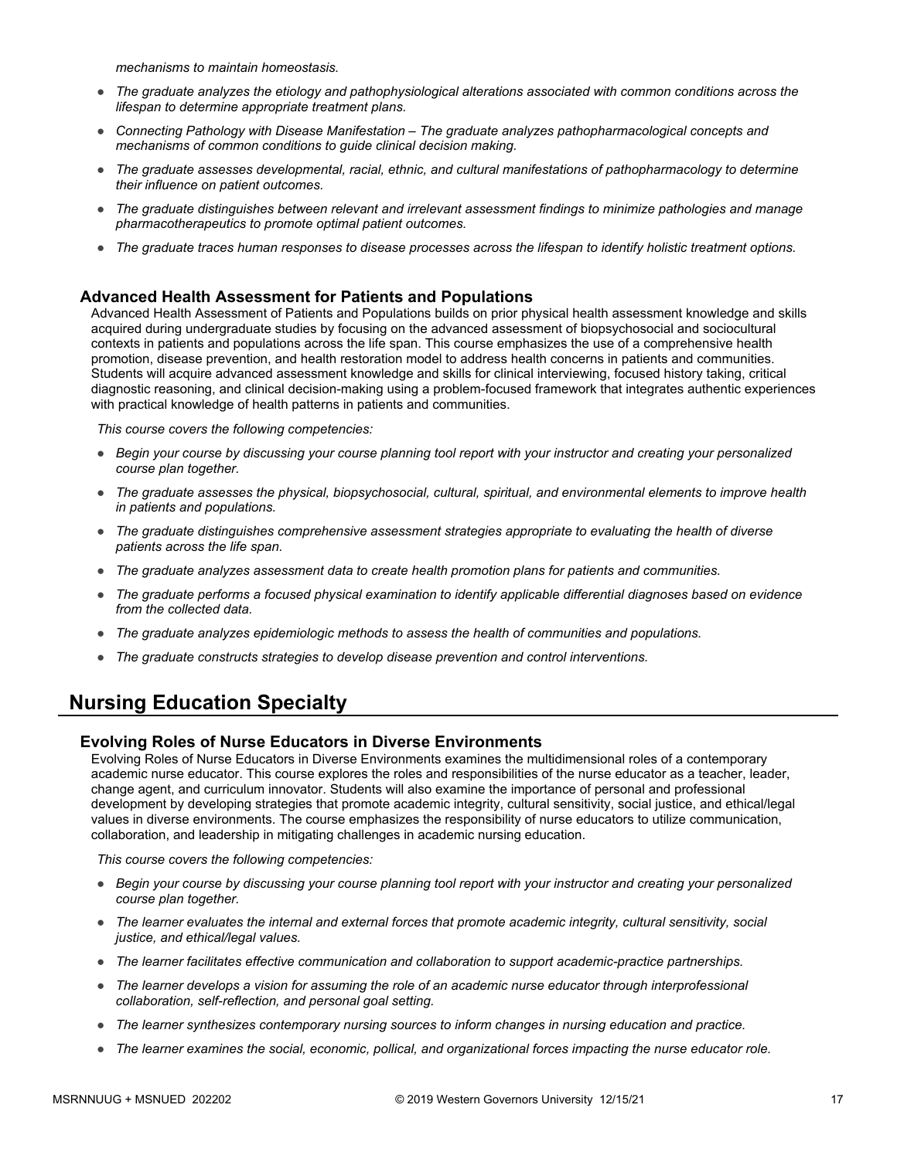*mechanisms to maintain homeostasis.*

- *The graduate analyzes the etiology and pathophysiological alterations associated with common conditions across the lifespan to determine appropriate treatment plans.*
- *Connecting Pathology with Disease Manifestation The graduate analyzes pathopharmacological concepts and mechanisms of common conditions to guide clinical decision making.*
- *The graduate assesses developmental, racial, ethnic, and cultural manifestations of pathopharmacology to determine their influence on patient outcomes.*
- *The graduate distinguishes between relevant and irrelevant assessment findings to minimize pathologies and manage pharmacotherapeutics to promote optimal patient outcomes.*
- *The graduate traces human responses to disease processes across the lifespan to identify holistic treatment options.*

#### **Advanced Health Assessment for Patients and Populations**

Advanced Health Assessment of Patients and Populations builds on prior physical health assessment knowledge and skills acquired during undergraduate studies by focusing on the advanced assessment of biopsychosocial and sociocultural contexts in patients and populations across the life span. This course emphasizes the use of a comprehensive health promotion, disease prevention, and health restoration model to address health concerns in patients and communities. Students will acquire advanced assessment knowledge and skills for clinical interviewing, focused history taking, critical diagnostic reasoning, and clinical decision-making using a problem-focused framework that integrates authentic experiences with practical knowledge of health patterns in patients and communities.

*This course covers the following competencies:*

- *Begin your course by discussing your course planning tool report with your instructor and creating your personalized course plan together.*
- *The graduate assesses the physical, biopsychosocial, cultural, spiritual, and environmental elements to improve health in patients and populations.*
- *The graduate distinguishes comprehensive assessment strategies appropriate to evaluating the health of diverse patients across the life span.*
- *The graduate analyzes assessment data to create health promotion plans for patients and communities.*
- *The graduate performs a focused physical examination to identify applicable differential diagnoses based on evidence from the collected data.*
- *The graduate analyzes epidemiologic methods to assess the health of communities and populations.*
- *The graduate constructs strategies to develop disease prevention and control interventions.*

## **Nursing Education Specialty**

#### **Evolving Roles of Nurse Educators in Diverse Environments**

Evolving Roles of Nurse Educators in Diverse Environments examines the multidimensional roles of a contemporary academic nurse educator. This course explores the roles and responsibilities of the nurse educator as a teacher, leader, change agent, and curriculum innovator. Students will also examine the importance of personal and professional development by developing strategies that promote academic integrity, cultural sensitivity, social justice, and ethical/legal values in diverse environments. The course emphasizes the responsibility of nurse educators to utilize communication, collaboration, and leadership in mitigating challenges in academic nursing education.

- *Begin your course by discussing your course planning tool report with your instructor and creating your personalized course plan together.*
- *The learner evaluates the internal and external forces that promote academic integrity, cultural sensitivity, social justice, and ethical/legal values.*
- *The learner facilitates effective communication and collaboration to support academic-practice partnerships.*
- *The learner develops a vision for assuming the role of an academic nurse educator through interprofessional collaboration, self-reflection, and personal goal setting.*
- *The learner synthesizes contemporary nursing sources to inform changes in nursing education and practice.*
- *The learner examines the social, economic, pollical, and organizational forces impacting the nurse educator role.*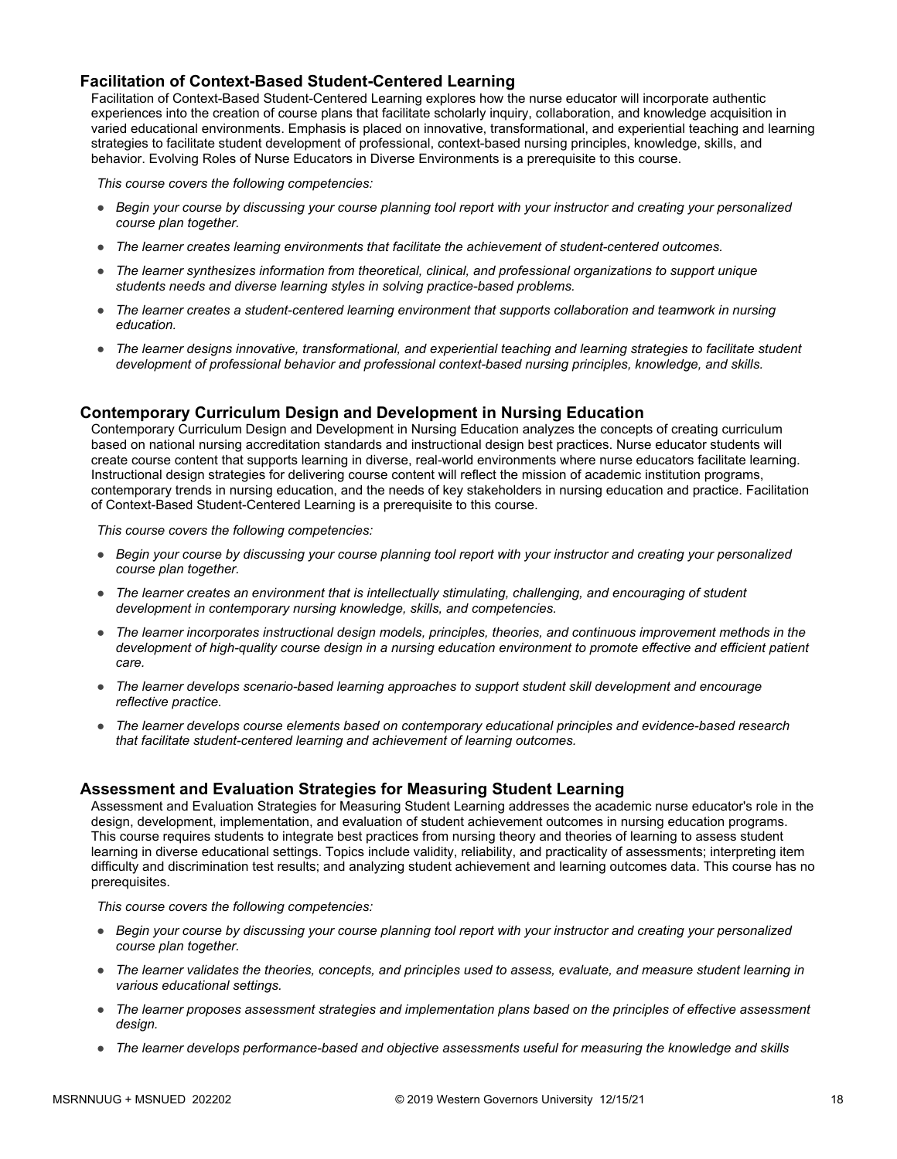#### **Facilitation of Context-Based Student-Centered Learning**

Facilitation of Context-Based Student-Centered Learning explores how the nurse educator will incorporate authentic experiences into the creation of course plans that facilitate scholarly inquiry, collaboration, and knowledge acquisition in varied educational environments. Emphasis is placed on innovative, transformational, and experiential teaching and learning strategies to facilitate student development of professional, context-based nursing principles, knowledge, skills, and behavior. Evolving Roles of Nurse Educators in Diverse Environments is a prerequisite to this course.

*This course covers the following competencies:*

- *Begin your course by discussing your course planning tool report with your instructor and creating your personalized course plan together.*
- *The learner creates learning environments that facilitate the achievement of student-centered outcomes.*
- *The learner synthesizes information from theoretical, clinical, and professional organizations to support unique students needs and diverse learning styles in solving practice-based problems.*
- *The learner creates a student-centered learning environment that supports collaboration and teamwork in nursing education.*
- *The learner designs innovative, transformational, and experiential teaching and learning strategies to facilitate student development of professional behavior and professional context-based nursing principles, knowledge, and skills.*

#### **Contemporary Curriculum Design and Development in Nursing Education**

Contemporary Curriculum Design and Development in Nursing Education analyzes the concepts of creating curriculum based on national nursing accreditation standards and instructional design best practices. Nurse educator students will create course content that supports learning in diverse, real-world environments where nurse educators facilitate learning. Instructional design strategies for delivering course content will reflect the mission of academic institution programs, contemporary trends in nursing education, and the needs of key stakeholders in nursing education and practice. Facilitation of Context-Based Student-Centered Learning is a prerequisite to this course.

*This course covers the following competencies:*

- *Begin your course by discussing your course planning tool report with your instructor and creating your personalized course plan together.*
- *The learner creates an environment that is intellectually stimulating, challenging, and encouraging of student development in contemporary nursing knowledge, skills, and competencies.*
- *The learner incorporates instructional design models, principles, theories, and continuous improvement methods in the development of high-quality course design in a nursing education environment to promote effective and efficient patient care.*
- *The learner develops scenario-based learning approaches to support student skill development and encourage reflective practice.*
- *The learner develops course elements based on contemporary educational principles and evidence-based research that facilitate student-centered learning and achievement of learning outcomes.*

#### **Assessment and Evaluation Strategies for Measuring Student Learning**

Assessment and Evaluation Strategies for Measuring Student Learning addresses the academic nurse educator's role in the design, development, implementation, and evaluation of student achievement outcomes in nursing education programs. This course requires students to integrate best practices from nursing theory and theories of learning to assess student learning in diverse educational settings. Topics include validity, reliability, and practicality of assessments; interpreting item difficulty and discrimination test results; and analyzing student achievement and learning outcomes data. This course has no prerequisites.

- *Begin your course by discussing your course planning tool report with your instructor and creating your personalized course plan together.*
- *The learner validates the theories, concepts, and principles used to assess, evaluate, and measure student learning in various educational settings.*
- *The learner proposes assessment strategies and implementation plans based on the principles of effective assessment design.*
- *The learner develops performance-based and objective assessments useful for measuring the knowledge and skills*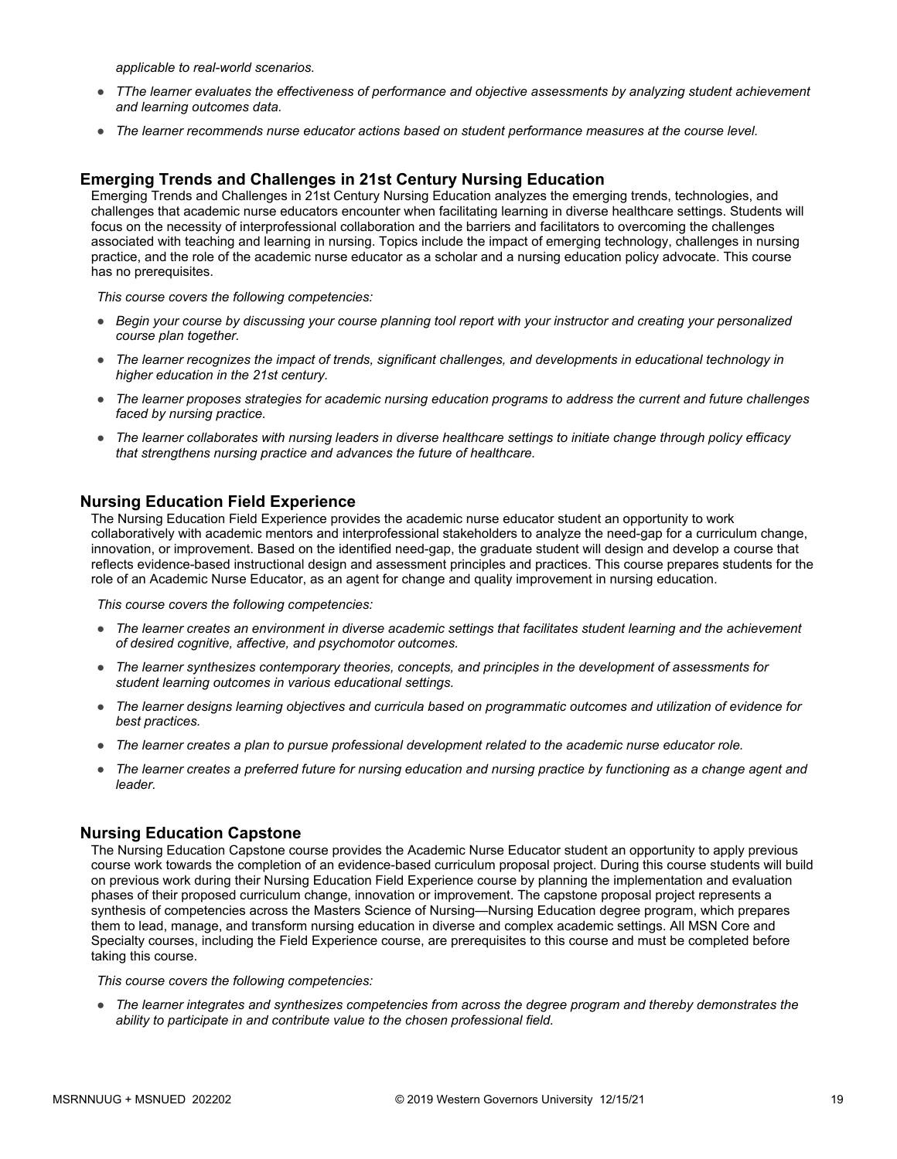*applicable to real-world scenarios.*

- *TThe learner evaluates the effectiveness of performance and objective assessments by analyzing student achievement and learning outcomes data.*
- *The learner recommends nurse educator actions based on student performance measures at the course level.*

#### **Emerging Trends and Challenges in 21st Century Nursing Education**

Emerging Trends and Challenges in 21st Century Nursing Education analyzes the emerging trends, technologies, and challenges that academic nurse educators encounter when facilitating learning in diverse healthcare settings. Students will focus on the necessity of interprofessional collaboration and the barriers and facilitators to overcoming the challenges associated with teaching and learning in nursing. Topics include the impact of emerging technology, challenges in nursing practice, and the role of the academic nurse educator as a scholar and a nursing education policy advocate. This course has no prerequisites.

*This course covers the following competencies:*

- *Begin your course by discussing your course planning tool report with your instructor and creating your personalized course plan together.*
- *The learner recognizes the impact of trends, significant challenges, and developments in educational technology in higher education in the 21st century.*
- *The learner proposes strategies for academic nursing education programs to address the current and future challenges faced by nursing practice.*
- *The learner collaborates with nursing leaders in diverse healthcare settings to initiate change through policy efficacy that strengthens nursing practice and advances the future of healthcare.*

#### **Nursing Education Field Experience**

The Nursing Education Field Experience provides the academic nurse educator student an opportunity to work collaboratively with academic mentors and interprofessional stakeholders to analyze the need-gap for a curriculum change, innovation, or improvement. Based on the identified need-gap, the graduate student will design and develop a course that reflects evidence-based instructional design and assessment principles and practices. This course prepares students for the role of an Academic Nurse Educator, as an agent for change and quality improvement in nursing education.

*This course covers the following competencies:*

- *The learner creates an environment in diverse academic settings that facilitates student learning and the achievement of desired cognitive, affective, and psychomotor outcomes.*
- *The learner synthesizes contemporary theories, concepts, and principles in the development of assessments for student learning outcomes in various educational settings.*
- *The learner designs learning objectives and curricula based on programmatic outcomes and utilization of evidence for best practices.*
- *The learner creates a plan to pursue professional development related to the academic nurse educator role.*
- *The learner creates a preferred future for nursing education and nursing practice by functioning as a change agent and leader.*

#### **Nursing Education Capstone**

The Nursing Education Capstone course provides the Academic Nurse Educator student an opportunity to apply previous course work towards the completion of an evidence-based curriculum proposal project. During this course students will build on previous work during their Nursing Education Field Experience course by planning the implementation and evaluation phases of their proposed curriculum change, innovation or improvement. The capstone proposal project represents a synthesis of competencies across the Masters Science of Nursing—Nursing Education degree program, which prepares them to lead, manage, and transform nursing education in diverse and complex academic settings. All MSN Core and Specialty courses, including the Field Experience course, are prerequisites to this course and must be completed before taking this course.

*This course covers the following competencies:*

● *The learner integrates and synthesizes competencies from across the degree program and thereby demonstrates the ability to participate in and contribute value to the chosen professional field.*